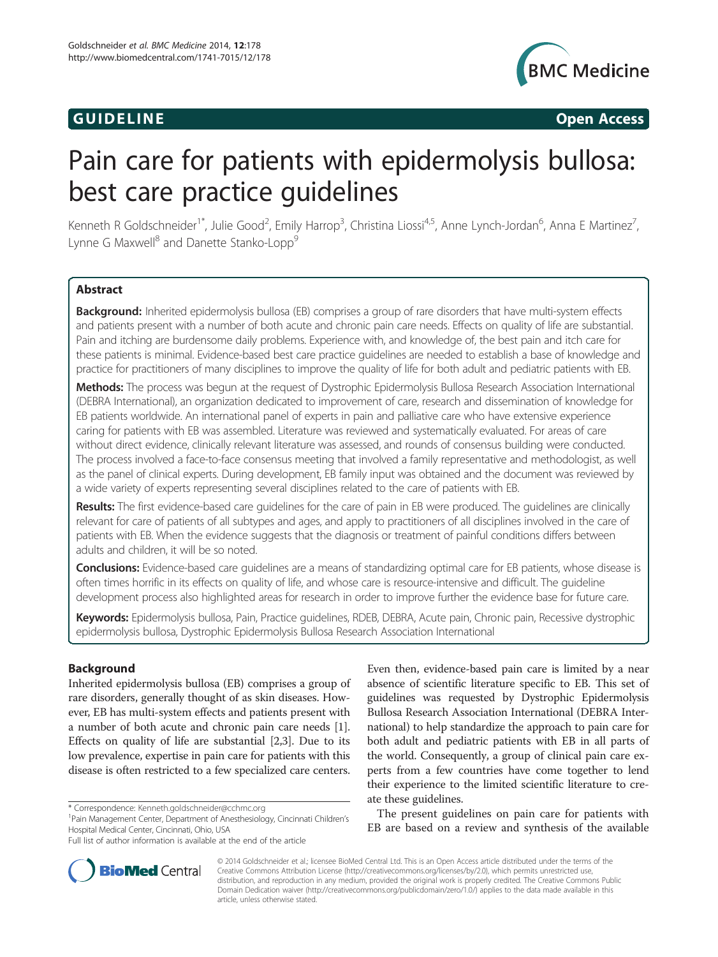## **GUIDELINE GUIDELINE**



# Pain care for patients with epidermolysis bullosa: best care practice guidelines

Kenneth R Goldschneider<sup>1\*</sup>, Julie Good<sup>2</sup>, Emily Harrop<sup>3</sup>, Christina Liossi<sup>4,5</sup>, Anne Lynch-Jordan<sup>6</sup>, Anna E Martinez<sup>7</sup> , Lynne G Maxwell<sup>8</sup> and Danette Stanko-Lopp<sup>9</sup>

## Abstract

Background: Inherited epidermolysis bullosa (EB) comprises a group of rare disorders that have multi-system effects and patients present with a number of both acute and chronic pain care needs. Effects on quality of life are substantial. Pain and itching are burdensome daily problems. Experience with, and knowledge of, the best pain and itch care for these patients is minimal. Evidence-based best care practice guidelines are needed to establish a base of knowledge and practice for practitioners of many disciplines to improve the quality of life for both adult and pediatric patients with EB.

Methods: The process was begun at the request of Dystrophic Epidermolysis Bullosa Research Association International (DEBRA International), an organization dedicated to improvement of care, research and dissemination of knowledge for EB patients worldwide. An international panel of experts in pain and palliative care who have extensive experience caring for patients with EB was assembled. Literature was reviewed and systematically evaluated. For areas of care without direct evidence, clinically relevant literature was assessed, and rounds of consensus building were conducted. The process involved a face-to-face consensus meeting that involved a family representative and methodologist, as well as the panel of clinical experts. During development, EB family input was obtained and the document was reviewed by a wide variety of experts representing several disciplines related to the care of patients with EB.

Results: The first evidence-based care quidelines for the care of pain in EB were produced. The quidelines are clinically relevant for care of patients of all subtypes and ages, and apply to practitioners of all disciplines involved in the care of patients with EB. When the evidence suggests that the diagnosis or treatment of painful conditions differs between adults and children, it will be so noted.

Conclusions: Evidence-based care quidelines are a means of standardizing optimal care for EB patients, whose disease is often times horrific in its effects on quality of life, and whose care is resource-intensive and difficult. The guideline development process also highlighted areas for research in order to improve further the evidence base for future care.

Keywords: Epidermolysis bullosa, Pain, Practice guidelines, RDEB, DEBRA, Acute pain, Chronic pain, Recessive dystrophic epidermolysis bullosa, Dystrophic Epidermolysis Bullosa Research Association International

## Background

Inherited epidermolysis bullosa (EB) comprises a group of rare disorders, generally thought of as skin diseases. However, EB has multi-system effects and patients present with a number of both acute and chronic pain care needs [[1](#page-18-0)]. Effects on quality of life are substantial [\[2,3\]](#page-18-0). Due to its low prevalence, expertise in pain care for patients with this disease is often restricted to a few specialized care centers.

\* Correspondence: [Kenneth.goldschneider@cchmc.org](mailto:Kenneth.goldschneider@cchmc.org) <sup>1</sup>

<sup>1</sup> Pain Management Center, Department of Anesthesiology, Cincinnati Children's Hospital Medical Center, Cincinnati, Ohio, USA

Even then, evidence-based pain care is limited by a near absence of scientific literature specific to EB. This set of guidelines was requested by Dystrophic Epidermolysis Bullosa Research Association International (DEBRA International) to help standardize the approach to pain care for both adult and pediatric patients with EB in all parts of the world. Consequently, a group of clinical pain care experts from a few countries have come together to lend their experience to the limited scientific literature to create these guidelines.

The present guidelines on pain care for patients with EB are based on a review and synthesis of the available



© 2014 Goldschneider et al.; licensee BioMed Central Ltd. This is an Open Access article distributed under the terms of the Creative Commons Attribution License (<http://creativecommons.org/licenses/by/2.0>), which permits unrestricted use, distribution, and reproduction in any medium, provided the original work is properly credited. The Creative Commons Public Domain Dedication waiver [\(http://creativecommons.org/publicdomain/zero/1.0/\)](http://creativecommons.org/publicdomain/zero/1.0/) applies to the data made available in this article, unless otherwise stated.

Full list of author information is available at the end of the article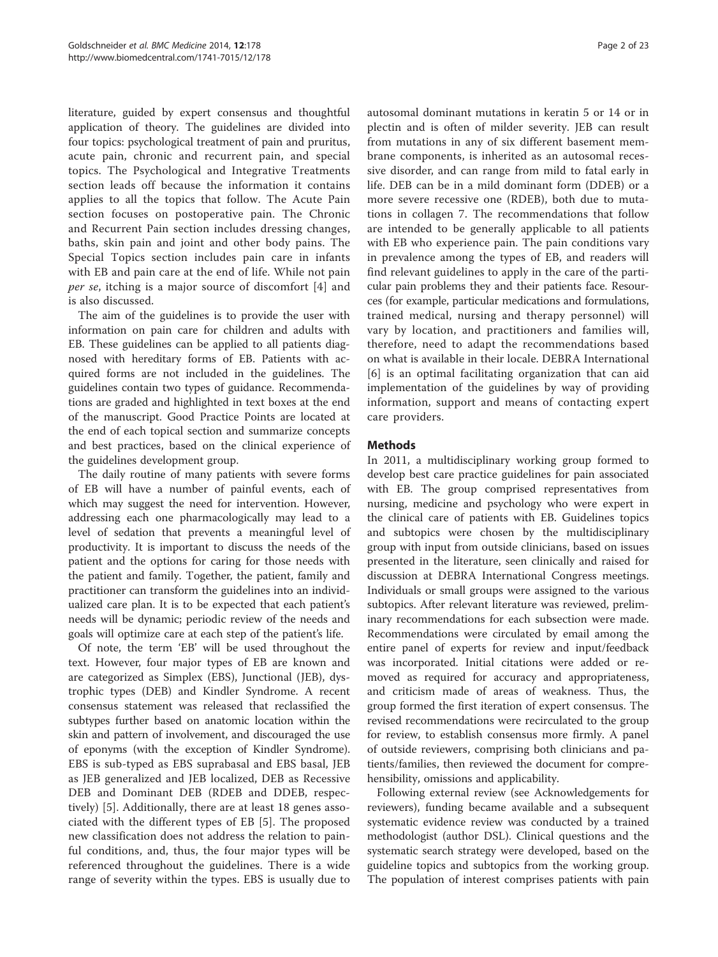literature, guided by expert consensus and thoughtful application of theory. The guidelines are divided into four topics: psychological treatment of pain and pruritus, acute pain, chronic and recurrent pain, and special topics. The Psychological and Integrative Treatments section leads off because the information it contains applies to all the topics that follow. The Acute Pain section focuses on postoperative pain. The Chronic and Recurrent Pain section includes dressing changes, baths, skin pain and joint and other body pains. The Special Topics section includes pain care in infants with EB and pain care at the end of life. While not pain per se, itching is a major source of discomfort [\[4](#page-18-0)] and is also discussed.

The aim of the guidelines is to provide the user with information on pain care for children and adults with EB. These guidelines can be applied to all patients diagnosed with hereditary forms of EB. Patients with acquired forms are not included in the guidelines. The guidelines contain two types of guidance. Recommendations are graded and highlighted in text boxes at the end of the manuscript. Good Practice Points are located at the end of each topical section and summarize concepts and best practices, based on the clinical experience of the guidelines development group.

The daily routine of many patients with severe forms of EB will have a number of painful events, each of which may suggest the need for intervention. However, addressing each one pharmacologically may lead to a level of sedation that prevents a meaningful level of productivity. It is important to discuss the needs of the patient and the options for caring for those needs with the patient and family. Together, the patient, family and practitioner can transform the guidelines into an individualized care plan. It is to be expected that each patient's needs will be dynamic; periodic review of the needs and goals will optimize care at each step of the patient's life.

Of note, the term 'EB' will be used throughout the text. However, four major types of EB are known and are categorized as Simplex (EBS), Junctional (JEB), dystrophic types (DEB) and Kindler Syndrome. A recent consensus statement was released that reclassified the subtypes further based on anatomic location within the skin and pattern of involvement, and discouraged the use of eponyms (with the exception of Kindler Syndrome). EBS is sub-typed as EBS suprabasal and EBS basal, JEB as JEB generalized and JEB localized, DEB as Recessive DEB and Dominant DEB (RDEB and DDEB, respectively) [\[5](#page-18-0)]. Additionally, there are at least 18 genes associated with the different types of EB [[5\]](#page-18-0). The proposed new classification does not address the relation to painful conditions, and, thus, the four major types will be referenced throughout the guidelines. There is a wide range of severity within the types. EBS is usually due to

autosomal dominant mutations in keratin 5 or 14 or in plectin and is often of milder severity. JEB can result from mutations in any of six different basement membrane components, is inherited as an autosomal recessive disorder, and can range from mild to fatal early in life. DEB can be in a mild dominant form (DDEB) or a more severe recessive one (RDEB), both due to mutations in collagen 7. The recommendations that follow are intended to be generally applicable to all patients with EB who experience pain. The pain conditions vary in prevalence among the types of EB, and readers will find relevant guidelines to apply in the care of the particular pain problems they and their patients face. Resources (for example, particular medications and formulations, trained medical, nursing and therapy personnel) will vary by location, and practitioners and families will, therefore, need to adapt the recommendations based on what is available in their locale. DEBRA International [[6\]](#page-18-0) is an optimal facilitating organization that can aid implementation of the guidelines by way of providing information, support and means of contacting expert care providers.

## Methods

In 2011, a multidisciplinary working group formed to develop best care practice guidelines for pain associated with EB. The group comprised representatives from nursing, medicine and psychology who were expert in the clinical care of patients with EB. Guidelines topics and subtopics were chosen by the multidisciplinary group with input from outside clinicians, based on issues presented in the literature, seen clinically and raised for discussion at DEBRA International Congress meetings. Individuals or small groups were assigned to the various subtopics. After relevant literature was reviewed, preliminary recommendations for each subsection were made. Recommendations were circulated by email among the entire panel of experts for review and input/feedback was incorporated. Initial citations were added or removed as required for accuracy and appropriateness, and criticism made of areas of weakness. Thus, the group formed the first iteration of expert consensus. The revised recommendations were recirculated to the group for review, to establish consensus more firmly. A panel of outside reviewers, comprising both clinicians and patients/families, then reviewed the document for comprehensibility, omissions and applicability.

Following external review (see Acknowledgements for reviewers), funding became available and a subsequent systematic evidence review was conducted by a trained methodologist (author DSL). Clinical questions and the systematic search strategy were developed, based on the guideline topics and subtopics from the working group. The population of interest comprises patients with pain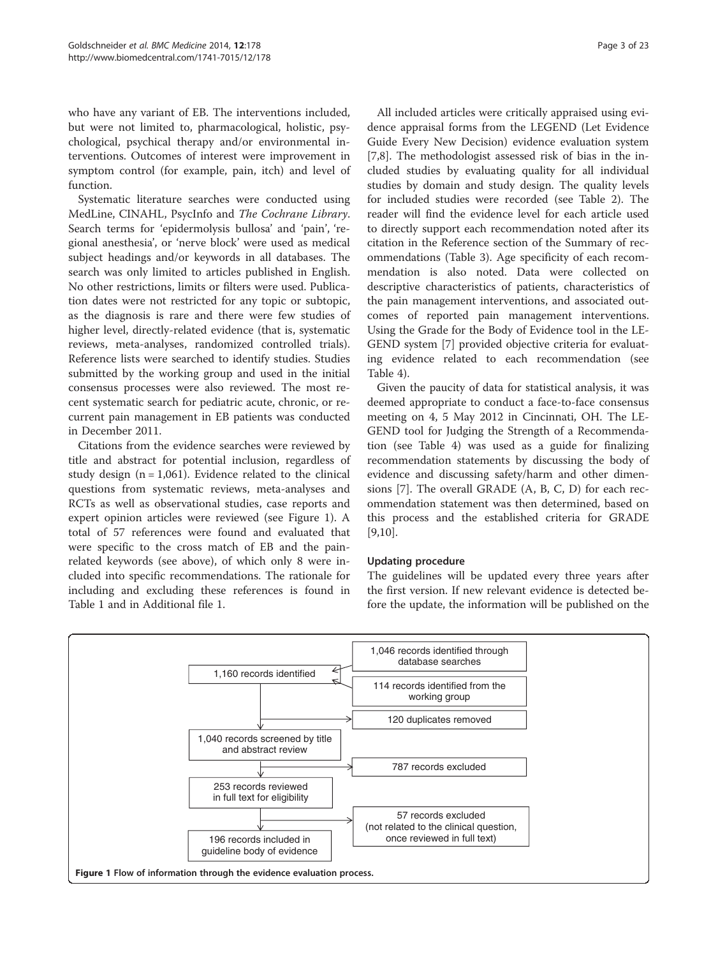who have any variant of EB. The interventions included, but were not limited to, pharmacological, holistic, psychological, psychical therapy and/or environmental interventions. Outcomes of interest were improvement in symptom control (for example, pain, itch) and level of function.

Systematic literature searches were conducted using MedLine, CINAHL, PsycInfo and The Cochrane Library. Search terms for 'epidermolysis bullosa' and 'pain', 'regional anesthesia', or 'nerve block' were used as medical subject headings and/or keywords in all databases. The search was only limited to articles published in English. No other restrictions, limits or filters were used. Publication dates were not restricted for any topic or subtopic, as the diagnosis is rare and there were few studies of higher level, directly-related evidence (that is, systematic reviews, meta-analyses, randomized controlled trials). Reference lists were searched to identify studies. Studies submitted by the working group and used in the initial consensus processes were also reviewed. The most recent systematic search for pediatric acute, chronic, or recurrent pain management in EB patients was conducted in December 2011.

Citations from the evidence searches were reviewed by title and abstract for potential inclusion, regardless of study design ( $n = 1,061$ ). Evidence related to the clinical questions from systematic reviews, meta-analyses and RCTs as well as observational studies, case reports and expert opinion articles were reviewed (see Figure 1). A total of 57 references were found and evaluated that were specific to the cross match of EB and the painrelated keywords (see above), of which only 8 were included into specific recommendations. The rationale for including and excluding these references is found in Table [1](#page-3-0) and in Additional file [1.](#page-17-0)

All included articles were critically appraised using evidence appraisal forms from the LEGEND (Let Evidence Guide Every New Decision) evidence evaluation system [[7,8\]](#page-18-0). The methodologist assessed risk of bias in the included studies by evaluating quality for all individual studies by domain and study design. The quality levels for included studies were recorded (see Table [2](#page-3-0)). The reader will find the evidence level for each article used to directly support each recommendation noted after its citation in the Reference section of the Summary of recommendations (Table [3](#page-4-0)). Age specificity of each recommendation is also noted. Data were collected on descriptive characteristics of patients, characteristics of the pain management interventions, and associated outcomes of reported pain management interventions. Using the Grade for the Body of Evidence tool in the LE-GEND system [\[7](#page-18-0)] provided objective criteria for evaluating evidence related to each recommendation (see Table [4\)](#page-6-0).

Given the paucity of data for statistical analysis, it was deemed appropriate to conduct a face-to-face consensus meeting on 4, 5 May 2012 in Cincinnati, OH. The LE-GEND tool for Judging the Strength of a Recommendation (see Table [4\)](#page-6-0) was used as a guide for finalizing recommendation statements by discussing the body of evidence and discussing safety/harm and other dimensions [[7\]](#page-18-0). The overall GRADE (A, B, C, D) for each recommendation statement was then determined, based on this process and the established criteria for GRADE [[9,10\]](#page-18-0).

## Updating procedure

The guidelines will be updated every three years after the first version. If new relevant evidence is detected before the update, the information will be published on the

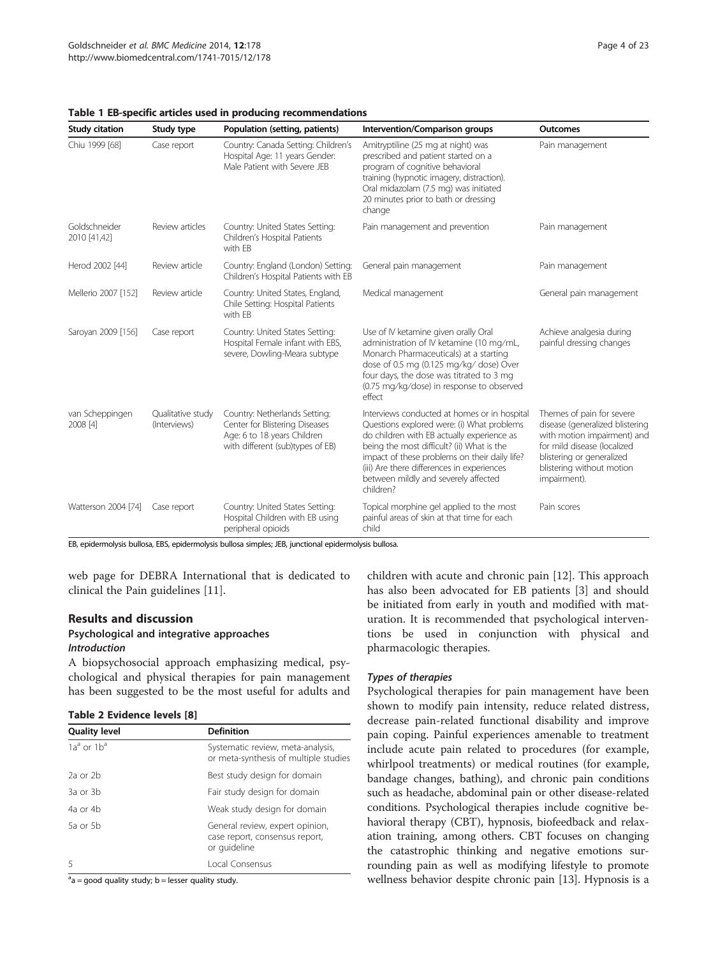| <b>Study citation</b>         | Study type                        | Population (setting, patients)                                                                                                     | Intervention/Comparison groups                                                                                                                                                                                                                                                                                                             | <b>Outcomes</b>                                                                                                                                                                                      |
|-------------------------------|-----------------------------------|------------------------------------------------------------------------------------------------------------------------------------|--------------------------------------------------------------------------------------------------------------------------------------------------------------------------------------------------------------------------------------------------------------------------------------------------------------------------------------------|------------------------------------------------------------------------------------------------------------------------------------------------------------------------------------------------------|
| Chiu 1999 [68]                | Case report                       | Country: Canada Setting: Children's<br>Hospital Age: 11 years Gender:<br>Male Patient with Severe JEB                              | Amitryptiline (25 mg at night) was<br>prescribed and patient started on a<br>program of cognitive behavioral<br>training (hypnotic imagery, distraction).<br>Oral midazolam (7.5 mg) was initiated<br>20 minutes prior to bath or dressing<br>change                                                                                       | Pain management                                                                                                                                                                                      |
| Goldschneider<br>2010 [41,42] | Review articles                   | Country: United States Setting:<br>Children's Hospital Patients<br>with FB                                                         | Pain management and prevention                                                                                                                                                                                                                                                                                                             | Pain management                                                                                                                                                                                      |
| Herod 2002 [44]               | Review article                    | Country: England (London) Setting:<br>Children's Hospital Patients with EB                                                         | General pain management                                                                                                                                                                                                                                                                                                                    | Pain management                                                                                                                                                                                      |
| Mellerio 2007 [152]           | Review article                    | Country: United States, England,<br>Chile Setting: Hospital Patients<br>with EB                                                    | Medical management                                                                                                                                                                                                                                                                                                                         | General pain management                                                                                                                                                                              |
| Saroyan 2009 [156]            | Case report                       | Country: United States Setting:<br>Hospital Female infant with EBS,<br>severe, Dowling-Meara subtype                               | Use of IV ketamine given orally Oral<br>administration of IV ketamine (10 mg/mL,<br>Monarch Pharmaceuticals) at a starting<br>dose of 0.5 mg (0.125 mg/kg/ dose) Over<br>four days, the dose was titrated to 3 mg<br>(0.75 mg/kg/dose) in response to observed<br>effect                                                                   | Achieve analgesia during<br>painful dressing changes                                                                                                                                                 |
| van Scheppingen<br>2008 [4]   | Qualitative study<br>(Interviews) | Country: Netherlands Setting:<br>Center for Blistering Diseases<br>Age: 6 to 18 years Children<br>with different (sub)types of EB) | Interviews conducted at homes or in hospital<br>Questions explored were: (i) What problems<br>do children with EB actually experience as<br>being the most difficult? (ii) What is the<br>impact of these problems on their daily life?<br>(iii) Are there differences in experiences<br>between mildly and severely affected<br>children? | Themes of pain for severe<br>disease (generalized blistering<br>with motion impairment) and<br>for mild disease (localized<br>blistering or generalized<br>blistering without motion<br>impairment). |
| Watterson 2004 [74]           | Case report                       | Country: United States Setting:<br>Hospital Children with EB using<br>peripheral opioids                                           | Topical morphine gel applied to the most<br>painful areas of skin at that time for each<br>child                                                                                                                                                                                                                                           | Pain scores                                                                                                                                                                                          |

#### <span id="page-3-0"></span>Table 1 EB-specific articles used in producing recommendations

EB, epidermolysis bullosa, EBS, epidermolysis bullosa simples; JEB, junctional epidermolysis bullosa.

web page for DEBRA International that is dedicated to clinical the Pain guidelines [\[11](#page-18-0)].

## Results and discussion Psychological and integrative approaches Introduction

A biopsychosocial approach emphasizing medical, psychological and physical therapies for pain management has been suggested to be the most useful for adults and

|  | Table 2 Evidence levels [8] |  |  |
|--|-----------------------------|--|--|
|--|-----------------------------|--|--|

| <b>Quality level</b> | <b>Definition</b>                                                                 |
|----------------------|-----------------------------------------------------------------------------------|
| $1a^a$ or $1b^a$     | Systematic review, meta-analysis,<br>or meta-synthesis of multiple studies        |
| $2a$ or $2b$         | Best study design for domain                                                      |
| 3a or 3b             | Fair study design for domain                                                      |
| 4a or 4b             | Weak study design for domain                                                      |
| 5a or 5b             | General review, expert opinion,<br>case report, consensus report,<br>or quideline |
| $\overline{5}$       | Local Consensus                                                                   |

 $a$  = good quality study; b = lesser quality study.

children with acute and chronic pain [[12\]](#page-18-0). This approach has also been advocated for EB patients [\[3](#page-18-0)] and should be initiated from early in youth and modified with maturation. It is recommended that psychological interventions be used in conjunction with physical and pharmacologic therapies.

## Types of therapies

Psychological therapies for pain management have been shown to modify pain intensity, reduce related distress, decrease pain-related functional disability and improve pain coping. Painful experiences amenable to treatment include acute pain related to procedures (for example, whirlpool treatments) or medical routines (for example, bandage changes, bathing), and chronic pain conditions such as headache, abdominal pain or other disease-related conditions. Psychological therapies include cognitive behavioral therapy (CBT), hypnosis, biofeedback and relaxation training, among others. CBT focuses on changing the catastrophic thinking and negative emotions surrounding pain as well as modifying lifestyle to promote wellness behavior despite chronic pain [[13](#page-18-0)]. Hypnosis is a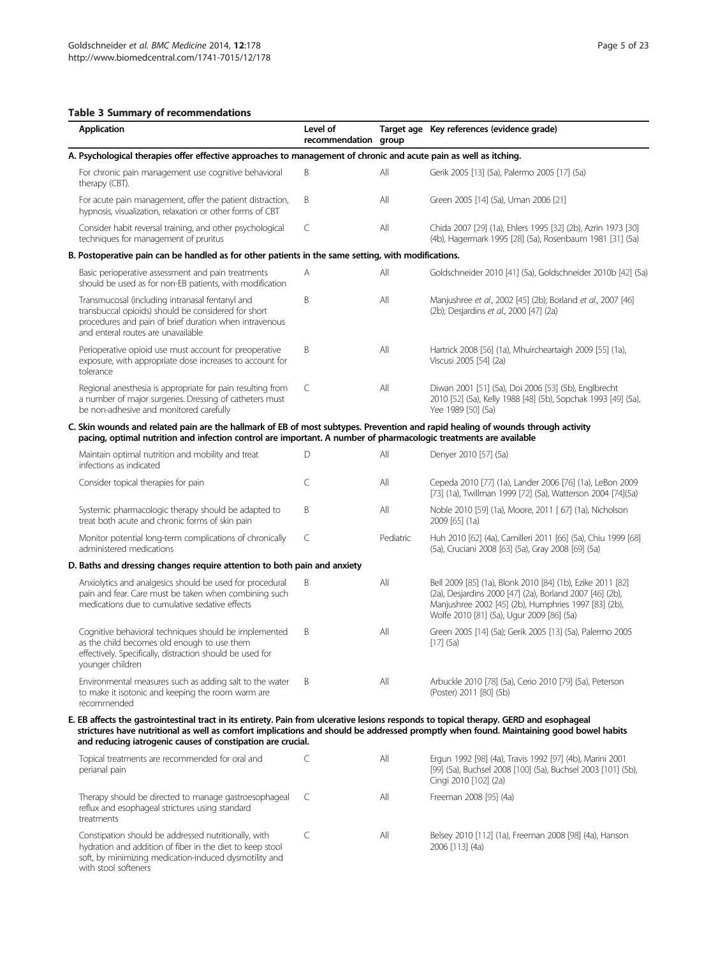## <span id="page-4-0"></span>Table 3 Summary of recommendations

| <b>Application</b>                                                                                                                                                                                                                                                                                                                               | Level of<br>recommendation group |           | Target age Key references (evidence grade)                                                                                                                                                                                  |
|--------------------------------------------------------------------------------------------------------------------------------------------------------------------------------------------------------------------------------------------------------------------------------------------------------------------------------------------------|----------------------------------|-----------|-----------------------------------------------------------------------------------------------------------------------------------------------------------------------------------------------------------------------------|
| A. Psychological therapies offer effective approaches to management of chronic and acute pain as well as itching.                                                                                                                                                                                                                                |                                  |           |                                                                                                                                                                                                                             |
| For chronic pain management use cognitive behavioral<br>therapy (CBT).                                                                                                                                                                                                                                                                           | B                                | All       | Gerik 2005 [13] (5a), Palermo 2005 [17] (5a)                                                                                                                                                                                |
| For acute pain management, offer the patient distraction,<br>hypnosis, visualization, relaxation or other forms of CBT                                                                                                                                                                                                                           | B                                | All       | Green 2005 [14] (5a), Uman 2006 [21]                                                                                                                                                                                        |
| Consider habit reversal training, and other psychological<br>techniques for management of pruritus                                                                                                                                                                                                                                               | C                                | All       | Chida 2007 [29] (1a), Ehlers 1995 [32] (2b), Azrin 1973 [30]<br>(4b), Hagermark 1995 [28] (5a), Rosenbaum 1981 [31] (5a)                                                                                                    |
| B. Postoperative pain can be handled as for other patients in the same setting, with modifications.                                                                                                                                                                                                                                              |                                  |           |                                                                                                                                                                                                                             |
| Basic perioperative assessment and pain treatments<br>should be used as for non-EB patients, with modification                                                                                                                                                                                                                                   | A                                | All       | Goldschneider 2010 [41] (5a), Goldschneider 2010b [42] (5a)                                                                                                                                                                 |
| Transmucosal (including intranasal fentanyl and<br>transbuccal opioids) should be considered for short<br>procedures and pain of brief duration when intravenous<br>and enteral routes are unavailable                                                                                                                                           | B                                | All       | Manjushree et al., 2002 [45] (2b); Borland et al., 2007 [46]<br>(2b); Desjardins et al., 2000 [47] (2a)                                                                                                                     |
| Perioperative opioid use must account for preoperative<br>exposure, with appropriate dose increases to account for<br>tolerance                                                                                                                                                                                                                  | B                                | All       | Hartrick 2008 [56] (1a), Mhuircheartaigh 2009 [55] (1a),<br>Viscusi 2005 [54] (2a)                                                                                                                                          |
| Regional anesthesia is appropriate for pain resulting from<br>a number of major surgeries. Dressing of catheters must<br>be non-adhesive and monitored carefully                                                                                                                                                                                 | C                                | All       | Diwan 2001 [51] (5a), Doi 2006 [53] (5b), Englbrecht<br>2010 [52] (5a), Kelly 1988 [48] (5b), Sopchak 1993 [49] (5a),<br>Yee 1989 [50] (5a)                                                                                 |
| C. Skin wounds and related pain are the hallmark of EB of most subtypes. Prevention and rapid healing of wounds through activity<br>pacing, optimal nutrition and infection control are important. A number of pharmacologic treatments are available                                                                                            |                                  |           |                                                                                                                                                                                                                             |
| Maintain optimal nutrition and mobility and treat<br>infections as indicated                                                                                                                                                                                                                                                                     | D                                | All       | Denyer 2010 [57] (5a)                                                                                                                                                                                                       |
| Consider topical therapies for pain                                                                                                                                                                                                                                                                                                              | C                                | All       | Cepeda 2010 [77] (1a), Lander 2006 [76] (1a), LeBon 2009<br>[73] (1a), Twillman 1999 [72] (5a), Watterson 2004 [74](5a)                                                                                                     |
| Systemic pharmacologic therapy should be adapted to<br>treat both acute and chronic forms of skin pain                                                                                                                                                                                                                                           | B                                | All       | Noble 2010 [59] (1a), Moore, 2011 [ 67] (1a), Nicholson<br>2009 [65] (1a)                                                                                                                                                   |
| Monitor potential long-term complications of chronically<br>administered medications                                                                                                                                                                                                                                                             | C                                | Pediatric | Huh 2010 [62] (4a), Camilleri 2011 [66] (5a), Chiu 1999 [68]<br>(5a), Cruciani 2008 [63] (5a), Gray 2008 [69] (5a)                                                                                                          |
| D. Baths and dressing changes require attention to both pain and anxiety                                                                                                                                                                                                                                                                         |                                  |           |                                                                                                                                                                                                                             |
| Anxiolytics and analgesics should be used for procedural<br>pain and fear. Care must be taken when combining such<br>medications due to cumulative sedative effects                                                                                                                                                                              | B                                | All       | Bell 2009 [85] (1a), Blonk 2010 [84] (1b), Ezike 2011 [82]<br>(2a), Desjardins 2000 [47] (2a), Borland 2007 [46] (2b),<br>Manjushree 2002 [45] (2b), Humphries 1997 [83] (2b),<br>Wolfe 2010 [81] (5a), Ugur 2009 [86] (5a) |
| Cognitive behavioral techniques should be implemented<br>as the child becomes old enough to use them<br>effectively. Specifically, distraction should be used for<br>younger children                                                                                                                                                            | B                                | All       | Green 2005 [14] (5a); Gerik 2005 [13] (5a), Palermo 2005<br>$[17]$ (5a)                                                                                                                                                     |
| Environmental measures such as adding salt to the water<br>to make it isotonic and keeping the room warm are<br>recommended                                                                                                                                                                                                                      | B                                | All       | Arbuckle 2010 [78] (5a), Cerio 2010 [79] (5a), Peterson<br>(Poster) 2011 [80] (5b)                                                                                                                                          |
| E. EB affects the gastrointestinal tract in its entirety. Pain from ulcerative lesions responds to topical therapy. GERD and esophageal<br>strictures have nutritional as well as comfort implications and should be addressed promptly when found. Maintaining good bowel habits<br>and reducing iatrogenic causes of constipation are crucial. |                                  |           |                                                                                                                                                                                                                             |
| Topical treatments are recommended for oral and<br>perianal pain                                                                                                                                                                                                                                                                                 | C                                | All       | Ergun 1992 [98] (4a), Travis 1992 [97] (4b), Marini 2001<br>[99] (5a), Buchsel 2008 [100] (5a), Buchsel 2003 [101] (5b),<br>Cingi 2010 [102] (2a)                                                                           |
| Therapy should be directed to manage gastroesophageal<br>reflux and esophageal strictures using standard<br>treatments                                                                                                                                                                                                                           | C                                | All       | Freeman 2008 [95] (4a)                                                                                                                                                                                                      |
| Constipation should be addressed nutritionally, with<br>hydration and addition of fiber in the diet to keep stool<br>soft, by minimizing medication-induced dysmotility and<br>with stool softeners                                                                                                                                              | C                                | All       | Belsey 2010 [112] (1a), Freeman 2008 [98] (4a), Hanson<br>2006 [113] (4a)                                                                                                                                                   |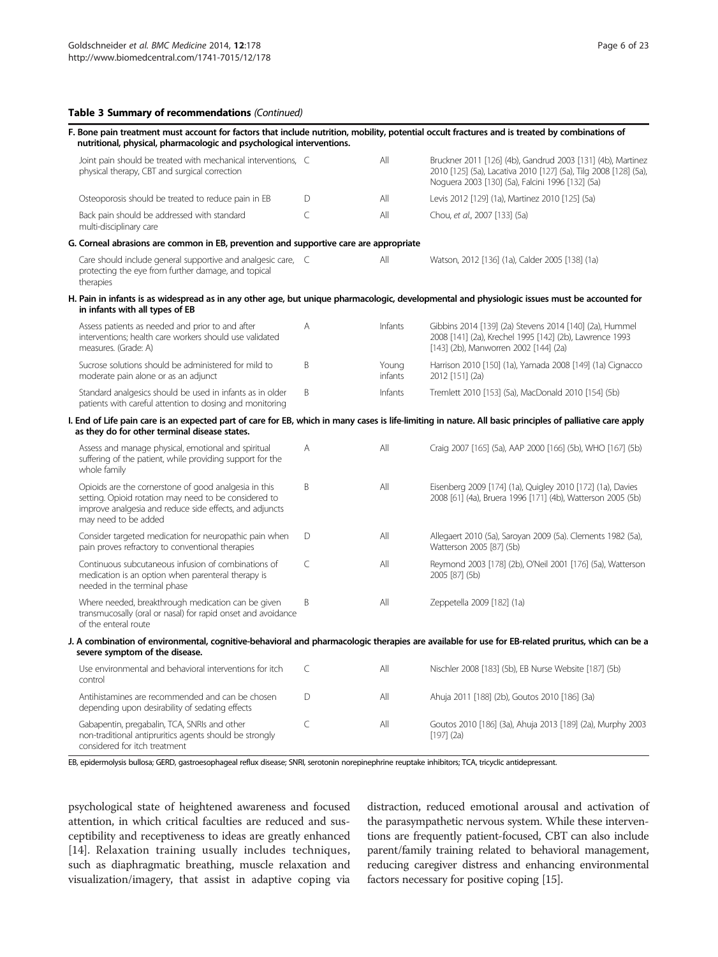#### Table 3 Summary of recommendations (Continued)

| F. Bone pain treatment must account for factors that include nutrition, mobility, potential occult fractures and is treated by combinations of<br>nutritional, physical, pharmacologic and psychological interventions. |   |                  |                                                                                                                                                                                     |
|-------------------------------------------------------------------------------------------------------------------------------------------------------------------------------------------------------------------------|---|------------------|-------------------------------------------------------------------------------------------------------------------------------------------------------------------------------------|
| Joint pain should be treated with mechanical interventions, C<br>physical therapy, CBT and surgical correction                                                                                                          |   | All              | Bruckner 2011 [126] (4b), Gandrud 2003 [131] (4b), Martinez<br>2010 [125] (5a), Lacativa 2010 [127] (5a), Tilg 2008 [128] (5a),<br>Noguera 2003 [130] (5a), Falcini 1996 [132] (5a) |
| Osteoporosis should be treated to reduce pain in EB                                                                                                                                                                     | D | All              | Levis 2012 [129] (1a), Martinez 2010 [125] (5a)                                                                                                                                     |
| Back pain should be addressed with standard<br>multi-disciplinary care                                                                                                                                                  | C | All              | Chou, et al., 2007 [133] (5a)                                                                                                                                                       |
| G. Corneal abrasions are common in EB, prevention and supportive care are appropriate                                                                                                                                   |   |                  |                                                                                                                                                                                     |
| Care should include general supportive and analgesic care, C<br>protecting the eye from further damage, and topical<br>therapies                                                                                        |   | All              | Watson, 2012 [136] (1a), Calder 2005 [138] (1a)                                                                                                                                     |
| H. Pain in infants is as widespread as in any other age, but unique pharmacologic, developmental and physiologic issues must be accounted for<br>in infants with all types of EB                                        |   |                  |                                                                                                                                                                                     |
| Assess patients as needed and prior to and after<br>interventions; health care workers should use validated<br>measures. (Grade: A)                                                                                     | A | Infants          | Gibbins 2014 [139] (2a) Stevens 2014 [140] (2a), Hummel<br>2008 [141] (2a), Krechel 1995 [142] (2b), Lawrence 1993<br>[143] (2b), Manworren 2002 [144] (2a)                         |
| Sucrose solutions should be administered for mild to<br>moderate pain alone or as an adjunct                                                                                                                            | B | Young<br>infants | Harrison 2010 [150] (1a), Yamada 2008 [149] (1a) Cignacco<br>2012 [151] (2a)                                                                                                        |
| Standard analgesics should be used in infants as in older<br>patients with careful attention to dosing and monitoring                                                                                                   | B | Infants          | Tremlett 2010 [153] (5a), MacDonald 2010 [154] (5b)                                                                                                                                 |
| I. End of Life pain care is an expected part of care for EB, which in many cases is life-limiting in nature. All basic principles of palliative care apply<br>as they do for other terminal disease states.             |   |                  |                                                                                                                                                                                     |
| Assess and manage physical, emotional and spiritual<br>suffering of the patient, while providing support for the<br>whole family                                                                                        | A | All              | Craig 2007 [165] (5a), AAP 2000 [166] (5b), WHO [167] (5b)                                                                                                                          |
| Opioids are the cornerstone of good analgesia in this<br>setting. Opioid rotation may need to be considered to<br>improve analgesia and reduce side effects, and adjuncts<br>may need to be added                       | B | All              | Eisenberg 2009 [174] (1a), Quigley 2010 [172] (1a), Davies<br>2008 [61] (4a), Bruera 1996 [171] (4b), Watterson 2005 (5b)                                                           |
| Consider targeted medication for neuropathic pain when<br>pain proves refractory to conventional therapies                                                                                                              | D | All              | Allegaert 2010 (5a), Saroyan 2009 (5a). Clements 1982 (5a),<br>Watterson 2005 [87] (5b)                                                                                             |
| Continuous subcutaneous infusion of combinations of<br>medication is an option when parenteral therapy is<br>needed in the terminal phase                                                                               | C | All              | Reymond 2003 [178] (2b), O'Neil 2001 [176] (5a), Watterson<br>2005 [87] (5b)                                                                                                        |
| Where needed, breakthrough medication can be given<br>transmucosally (oral or nasal) for rapid onset and avoidance<br>of the enteral route                                                                              | B | All              | Zeppetella 2009 [182] (1a)                                                                                                                                                          |
| J. A combination of environmental, cognitive-behavioral and pharmacologic therapies are available for use for EB-related pruritus, which can be a<br>severe symptom of the disease.                                     |   |                  |                                                                                                                                                                                     |
| Use environmental and behavioral interventions for itch<br>control                                                                                                                                                      | C | All              | Nischler 2008 [183] (5b), EB Nurse Website [187] (5b)                                                                                                                               |
| Antihistamines are recommended and can be chosen<br>depending upon desirability of sedating effects                                                                                                                     | D | All              | Ahuja 2011 [188] (2b), Goutos 2010 [186] (3a)                                                                                                                                       |
| Gabapentin, pregabalin, TCA, SNRIs and other<br>non-traditional antipruritics agents should be strongly<br>considered for itch treatment                                                                                | C | All              | Goutos 2010 [186] (3a), Ahuja 2013 [189] (2a), Murphy 2003<br>$[197]$ (2a)                                                                                                          |

EB, epidermolysis bullosa; GERD, gastroesophageal reflux disease; SNRI, serotonin norepinephrine reuptake inhibitors; TCA, tricyclic antidepressant.

psychological state of heightened awareness and focused attention, in which critical faculties are reduced and susceptibility and receptiveness to ideas are greatly enhanced [[14](#page-18-0)]. Relaxation training usually includes techniques, such as diaphragmatic breathing, muscle relaxation and visualization/imagery, that assist in adaptive coping via

distraction, reduced emotional arousal and activation of the parasympathetic nervous system. While these interventions are frequently patient-focused, CBT can also include parent/family training related to behavioral management, reducing caregiver distress and enhancing environmental factors necessary for positive coping [[15](#page-18-0)].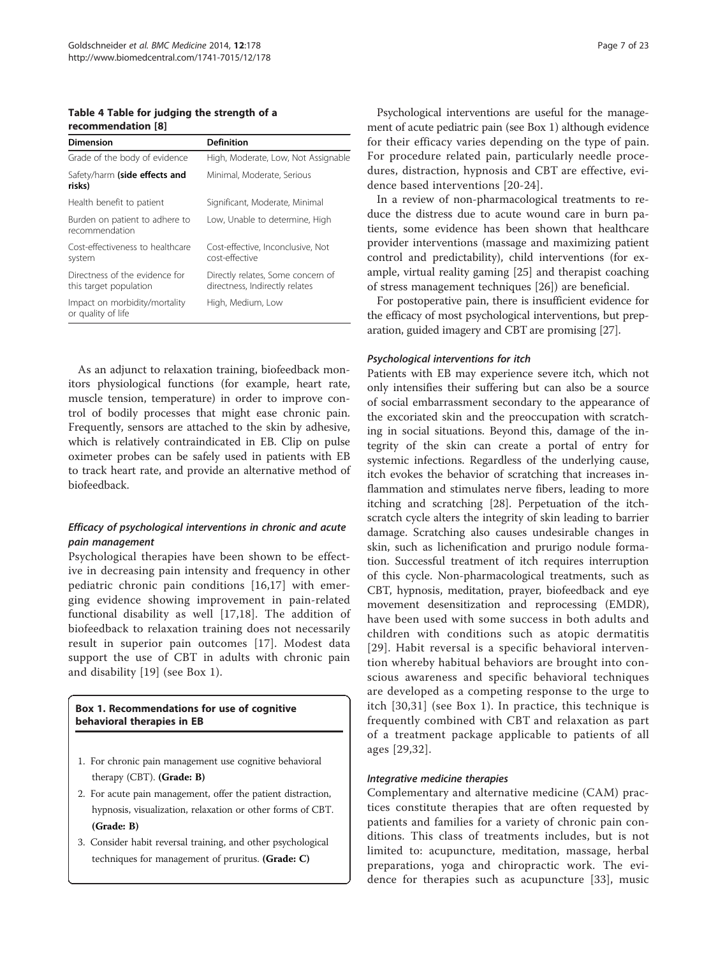<span id="page-6-0"></span>Table 4 Table for judging the strength of a recommendation [[8\]](#page-18-0)

| <b>Dimension</b>                                         | <b>Definition</b>                                                   |
|----------------------------------------------------------|---------------------------------------------------------------------|
| Grade of the body of evidence                            | High, Moderate, Low, Not Assignable                                 |
| Safety/harm (side effects and<br>risks)                  | Minimal, Moderate, Serious                                          |
| Health benefit to patient                                | Significant, Moderate, Minimal                                      |
| Burden on patient to adhere to<br>recommendation         | Low, Unable to determine, High                                      |
| Cost-effectiveness to healthcare<br>system               | Cost-effective, Inconclusive, Not<br>cost-effective                 |
| Directness of the evidence for<br>this target population | Directly relates, Some concern of<br>directness, Indirectly relates |
| Impact on morbidity/mortality<br>or quality of life      | High, Medium, Low                                                   |

As an adjunct to relaxation training, biofeedback monitors physiological functions (for example, heart rate, muscle tension, temperature) in order to improve control of bodily processes that might ease chronic pain. Frequently, sensors are attached to the skin by adhesive, which is relatively contraindicated in EB. Clip on pulse oximeter probes can be safely used in patients with EB to track heart rate, and provide an alternative method of biofeedback.

## Efficacy of psychological interventions in chronic and acute pain management

Psychological therapies have been shown to be effective in decreasing pain intensity and frequency in other pediatric chronic pain conditions [\[16,17](#page-18-0)] with emerging evidence showing improvement in pain-related functional disability as well [[17,18](#page-18-0)]. The addition of biofeedback to relaxation training does not necessarily result in superior pain outcomes [[17](#page-18-0)]. Modest data support the use of CBT in adults with chronic pain and disability [\[19](#page-18-0)] (see Box 1).

## Box 1. Recommendations for use of cognitive behavioral therapies in EB

- 1. For chronic pain management use cognitive behavioral therapy (CBT). (Grade: B)
- 2. For acute pain management, offer the patient distraction, hypnosis, visualization, relaxation or other forms of CBT. (Grade: B)
- 3. Consider habit reversal training, and other psychological techniques for management of pruritus. (Grade: C)

Psychological interventions are useful for the management of acute pediatric pain (see Box 1) although evidence for their efficacy varies depending on the type of pain. For procedure related pain, particularly needle procedures, distraction, hypnosis and CBT are effective, evidence based interventions [[20](#page-18-0)-[24\]](#page-18-0).

In a review of non-pharmacological treatments to reduce the distress due to acute wound care in burn patients, some evidence has been shown that healthcare provider interventions (massage and maximizing patient control and predictability), child interventions (for example, virtual reality gaming [[25\]](#page-18-0) and therapist coaching of stress management techniques [[26\]](#page-19-0)) are beneficial.

For postoperative pain, there is insufficient evidence for the efficacy of most psychological interventions, but preparation, guided imagery and CBT are promising [\[27\]](#page-19-0).

## Psychological interventions for itch

Patients with EB may experience severe itch, which not only intensifies their suffering but can also be a source of social embarrassment secondary to the appearance of the excoriated skin and the preoccupation with scratching in social situations. Beyond this, damage of the integrity of the skin can create a portal of entry for systemic infections. Regardless of the underlying cause, itch evokes the behavior of scratching that increases inflammation and stimulates nerve fibers, leading to more itching and scratching [\[28](#page-19-0)]. Perpetuation of the itchscratch cycle alters the integrity of skin leading to barrier damage. Scratching also causes undesirable changes in skin, such as lichenification and prurigo nodule formation. Successful treatment of itch requires interruption of this cycle. Non-pharmacological treatments, such as CBT, hypnosis, meditation, prayer, biofeedback and eye movement desensitization and reprocessing (EMDR), have been used with some success in both adults and children with conditions such as atopic dermatitis [[29](#page-19-0)]. Habit reversal is a specific behavioral intervention whereby habitual behaviors are brought into conscious awareness and specific behavioral techniques are developed as a competing response to the urge to itch [[30,31](#page-19-0)] (see Box 1). In practice, this technique is frequently combined with CBT and relaxation as part of a treatment package applicable to patients of all ages [\[29,32](#page-19-0)].

## Integrative medicine therapies

Complementary and alternative medicine (CAM) practices constitute therapies that are often requested by patients and families for a variety of chronic pain conditions. This class of treatments includes, but is not limited to: acupuncture, meditation, massage, herbal preparations, yoga and chiropractic work. The evidence for therapies such as acupuncture [[33](#page-19-0)], music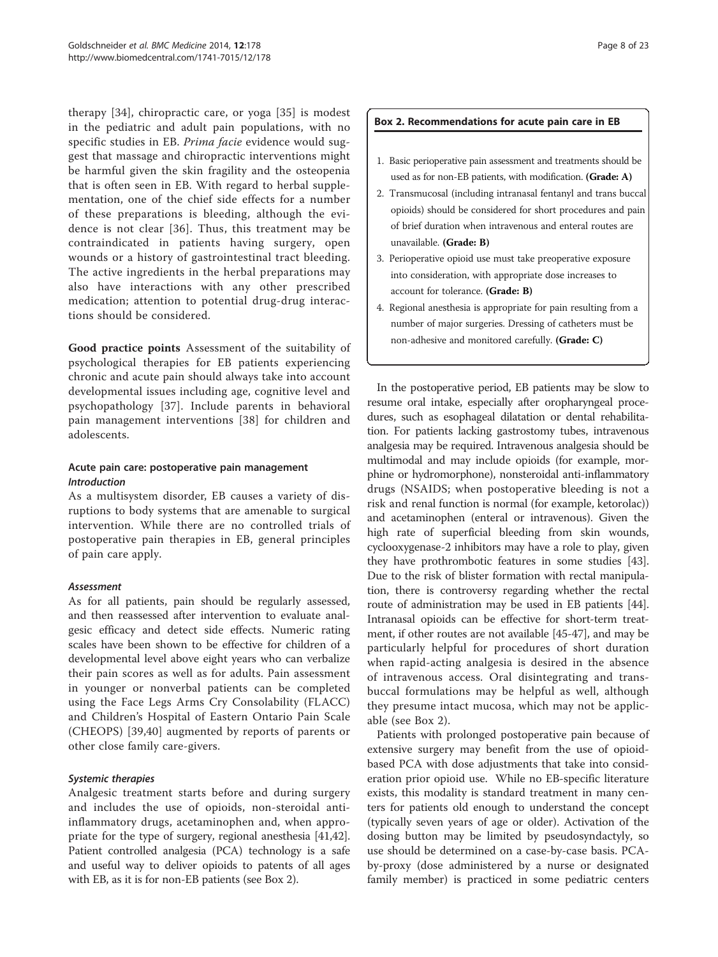therapy [\[34\]](#page-19-0), chiropractic care, or yoga [\[35](#page-19-0)] is modest in the pediatric and adult pain populations, with no specific studies in EB. Prima facie evidence would suggest that massage and chiropractic interventions might be harmful given the skin fragility and the osteopenia that is often seen in EB. With regard to herbal supplementation, one of the chief side effects for a number of these preparations is bleeding, although the evidence is not clear [[36](#page-19-0)]. Thus, this treatment may be contraindicated in patients having surgery, open wounds or a history of gastrointestinal tract bleeding. The active ingredients in the herbal preparations may also have interactions with any other prescribed medication; attention to potential drug-drug interactions should be considered.

Good practice points Assessment of the suitability of psychological therapies for EB patients experiencing chronic and acute pain should always take into account developmental issues including age, cognitive level and psychopathology [\[37\]](#page-19-0). Include parents in behavioral pain management interventions [[38\]](#page-19-0) for children and adolescents.

## Acute pain care: postoperative pain management Introduction

As a multisystem disorder, EB causes a variety of disruptions to body systems that are amenable to surgical intervention. While there are no controlled trials of postoperative pain therapies in EB, general principles of pain care apply.

## Assessment

As for all patients, pain should be regularly assessed, and then reassessed after intervention to evaluate analgesic efficacy and detect side effects. Numeric rating scales have been shown to be effective for children of a developmental level above eight years who can verbalize their pain scores as well as for adults. Pain assessment in younger or nonverbal patients can be completed using the Face Legs Arms Cry Consolability (FLACC) and Children's Hospital of Eastern Ontario Pain Scale (CHEOPS) [[39,40](#page-19-0)] augmented by reports of parents or other close family care-givers.

## Systemic therapies

Analgesic treatment starts before and during surgery and includes the use of opioids, non-steroidal antiinflammatory drugs, acetaminophen and, when appropriate for the type of surgery, regional anesthesia [\[41,42](#page-19-0)]. Patient controlled analgesia (PCA) technology is a safe and useful way to deliver opioids to patents of all ages with EB, as it is for non-EB patients (see Box 2).

## Box 2. Recommendations for acute pain care in EB

- 1. Basic perioperative pain assessment and treatments should be used as for non-EB patients, with modification. (Grade: A)
- 2. Transmucosal (including intranasal fentanyl and trans buccal opioids) should be considered for short procedures and pain of brief duration when intravenous and enteral routes are unavailable. (Grade: B)
- 3. Perioperative opioid use must take preoperative exposure into consideration, with appropriate dose increases to account for tolerance. (Grade: B)
- 4. Regional anesthesia is appropriate for pain resulting from a number of major surgeries. Dressing of catheters must be non-adhesive and monitored carefully. (Grade: C)

In the postoperative period, EB patients may be slow to resume oral intake, especially after oropharyngeal procedures, such as esophageal dilatation or dental rehabilitation. For patients lacking gastrostomy tubes, intravenous analgesia may be required. Intravenous analgesia should be multimodal and may include opioids (for example, morphine or hydromorphone), nonsteroidal anti-inflammatory drugs (NSAIDS; when postoperative bleeding is not a risk and renal function is normal (for example, ketorolac)) and acetaminophen (enteral or intravenous). Given the high rate of superficial bleeding from skin wounds, cyclooxygenase-2 inhibitors may have a role to play, given they have prothrombotic features in some studies [[43](#page-19-0)]. Due to the risk of blister formation with rectal manipulation, there is controversy regarding whether the rectal route of administration may be used in EB patients [[44](#page-19-0)]. Intranasal opioids can be effective for short-term treatment, if other routes are not available [\[45](#page-19-0)-[47](#page-19-0)], and may be particularly helpful for procedures of short duration when rapid-acting analgesia is desired in the absence of intravenous access. Oral disintegrating and transbuccal formulations may be helpful as well, although they presume intact mucosa, which may not be applicable (see Box 2).

Patients with prolonged postoperative pain because of extensive surgery may benefit from the use of opioidbased PCA with dose adjustments that take into consideration prior opioid use. While no EB-specific literature exists, this modality is standard treatment in many centers for patients old enough to understand the concept (typically seven years of age or older). Activation of the dosing button may be limited by pseudosyndactyly, so use should be determined on a case-by-case basis. PCAby-proxy (dose administered by a nurse or designated family member) is practiced in some pediatric centers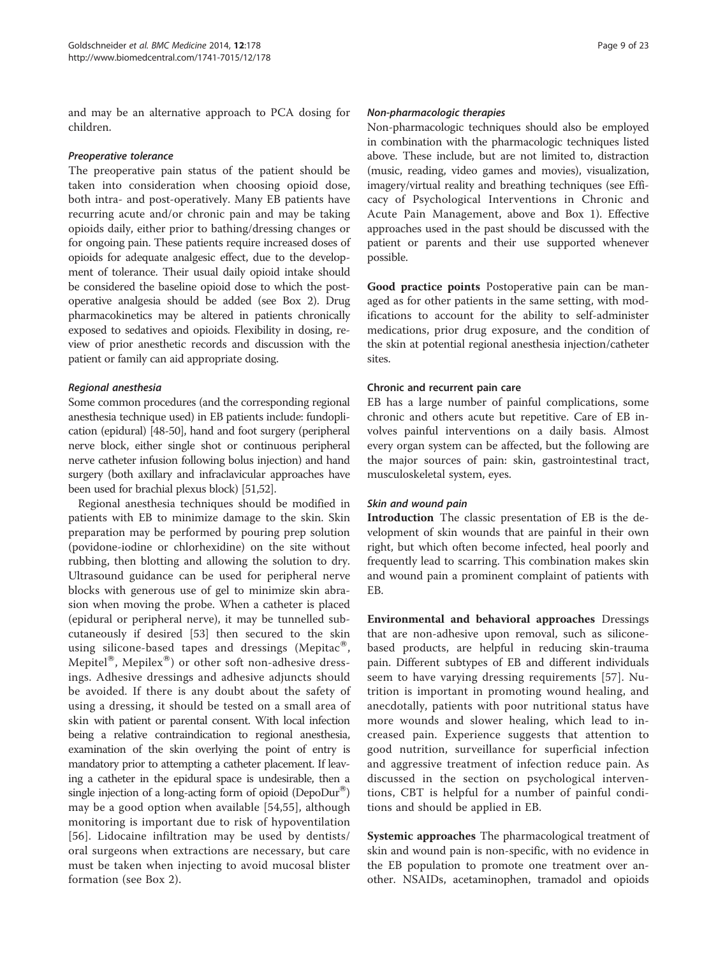and may be an alternative approach to PCA dosing for children.

#### Preoperative tolerance

The preoperative pain status of the patient should be taken into consideration when choosing opioid dose, both intra- and post-operatively. Many EB patients have recurring acute and/or chronic pain and may be taking opioids daily, either prior to bathing/dressing changes or for ongoing pain. These patients require increased doses of opioids for adequate analgesic effect, due to the development of tolerance. Their usual daily opioid intake should be considered the baseline opioid dose to which the postoperative analgesia should be added (see Box 2). Drug pharmacokinetics may be altered in patients chronically exposed to sedatives and opioids. Flexibility in dosing, review of prior anesthetic records and discussion with the patient or family can aid appropriate dosing.

#### Regional anesthesia

Some common procedures (and the corresponding regional anesthesia technique used) in EB patients include: fundoplication (epidural) [\[48-50\]](#page-19-0), hand and foot surgery (peripheral nerve block, either single shot or continuous peripheral nerve catheter infusion following bolus injection) and hand surgery (both axillary and infraclavicular approaches have been used for brachial plexus block) [\[51,52](#page-19-0)].

Regional anesthesia techniques should be modified in patients with EB to minimize damage to the skin. Skin preparation may be performed by pouring prep solution (povidone-iodine or chlorhexidine) on the site without rubbing, then blotting and allowing the solution to dry. Ultrasound guidance can be used for peripheral nerve blocks with generous use of gel to minimize skin abrasion when moving the probe. When a catheter is placed (epidural or peripheral nerve), it may be tunnelled subcutaneously if desired [[53](#page-19-0)] then secured to the skin using silicone-based tapes and dressings (Mepitac<sup>®</sup>, Mepitel®, Mepilex®) or other soft non-adhesive dressings. Adhesive dressings and adhesive adjuncts should be avoided. If there is any doubt about the safety of using a dressing, it should be tested on a small area of skin with patient or parental consent. With local infection being a relative contraindication to regional anesthesia, examination of the skin overlying the point of entry is mandatory prior to attempting a catheter placement. If leaving a catheter in the epidural space is undesirable, then a single injection of a long-acting form of opioid (DepoDur<sup>®</sup>) may be a good option when available [[54](#page-19-0),[55\]](#page-19-0), although monitoring is important due to risk of hypoventilation [[56](#page-19-0)]. Lidocaine infiltration may be used by dentists/ oral surgeons when extractions are necessary, but care must be taken when injecting to avoid mucosal blister formation (see Box 2).

#### Non-pharmacologic therapies

Non-pharmacologic techniques should also be employed in combination with the pharmacologic techniques listed above. These include, but are not limited to, distraction (music, reading, video games and movies), visualization, imagery/virtual reality and breathing techniques (see [Effi](#page-6-0)[cacy of Psychological Interventions in Chronic and](#page-6-0) [Acute Pain Management,](#page-6-0) above and Box 1). Effective approaches used in the past should be discussed with the patient or parents and their use supported whenever possible.

Good practice points Postoperative pain can be managed as for other patients in the same setting, with modifications to account for the ability to self-administer medications, prior drug exposure, and the condition of the skin at potential regional anesthesia injection/catheter sites.

#### Chronic and recurrent pain care

EB has a large number of painful complications, some chronic and others acute but repetitive. Care of EB involves painful interventions on a daily basis. Almost every organ system can be affected, but the following are the major sources of pain: skin, gastrointestinal tract, musculoskeletal system, eyes.

#### Skin and wound pain

Introduction The classic presentation of EB is the development of skin wounds that are painful in their own right, but which often become infected, heal poorly and frequently lead to scarring. This combination makes skin and wound pain a prominent complaint of patients with EB.

Environmental and behavioral approaches Dressings that are non-adhesive upon removal, such as siliconebased products, are helpful in reducing skin-trauma pain. Different subtypes of EB and different individuals seem to have varying dressing requirements [\[57](#page-19-0)]. Nutrition is important in promoting wound healing, and anecdotally, patients with poor nutritional status have more wounds and slower healing, which lead to increased pain. Experience suggests that attention to good nutrition, surveillance for superficial infection and aggressive treatment of infection reduce pain. As discussed in the section on psychological interventions, CBT is helpful for a number of painful conditions and should be applied in EB.

Systemic approaches The pharmacological treatment of skin and wound pain is non-specific, with no evidence in the EB population to promote one treatment over another. NSAIDs, acetaminophen, tramadol and opioids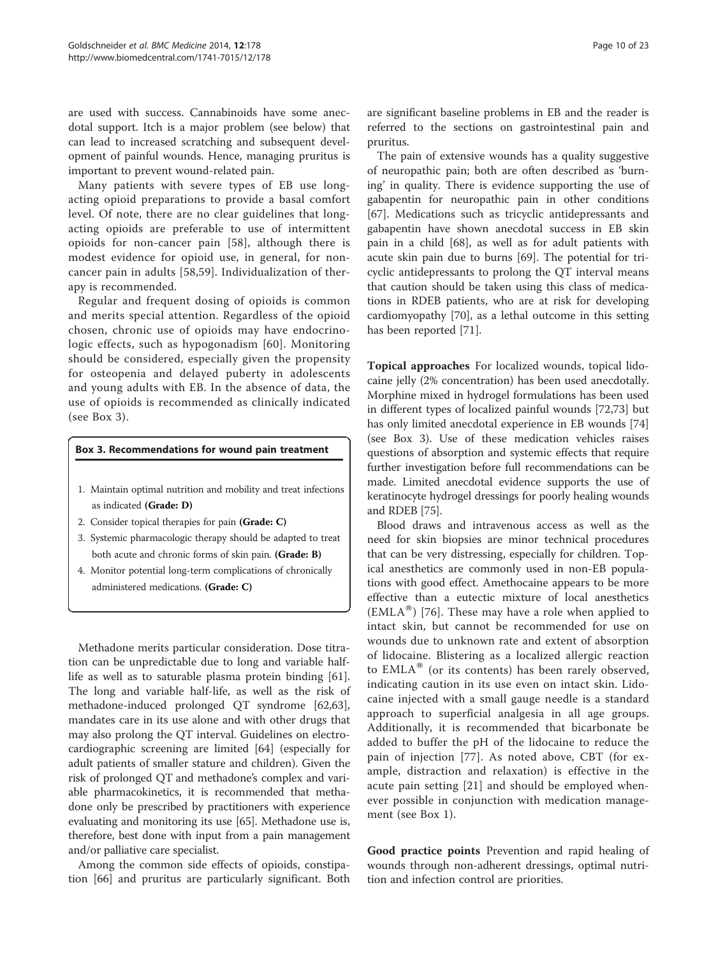are used with success. Cannabinoids have some anecdotal support. Itch is a major problem (see below) that can lead to increased scratching and subsequent development of painful wounds. Hence, managing pruritus is important to prevent wound-related pain.

Many patients with severe types of EB use longacting opioid preparations to provide a basal comfort level. Of note, there are no clear guidelines that longacting opioids are preferable to use of intermittent opioids for non-cancer pain [[58](#page-19-0)], although there is modest evidence for opioid use, in general, for noncancer pain in adults [\[58](#page-19-0),[59\]](#page-19-0). Individualization of therapy is recommended.

Regular and frequent dosing of opioids is common and merits special attention. Regardless of the opioid chosen, chronic use of opioids may have endocrinologic effects, such as hypogonadism [\[60\]](#page-19-0). Monitoring should be considered, especially given the propensity for osteopenia and delayed puberty in adolescents and young adults with EB. In the absence of data, the use of opioids is recommended as clinically indicated (see Box 3).

#### Box 3. Recommendations for wound pain treatment

- 1. Maintain optimal nutrition and mobility and treat infections as indicated (Grade: D)
- 2. Consider topical therapies for pain (Grade: C)
- 3. Systemic pharmacologic therapy should be adapted to treat both acute and chronic forms of skin pain. (Grade: B)
- 4. Monitor potential long-term complications of chronically administered medications. (Grade: C)

Methadone merits particular consideration. Dose titration can be unpredictable due to long and variable halflife as well as to saturable plasma protein binding [\[61](#page-19-0)]. The long and variable half-life, as well as the risk of methadone-induced prolonged QT syndrome [\[62,63](#page-19-0)], mandates care in its use alone and with other drugs that may also prolong the QT interval. Guidelines on electrocardiographic screening are limited [\[64](#page-19-0)] (especially for adult patients of smaller stature and children). Given the risk of prolonged QT and methadone's complex and variable pharmacokinetics, it is recommended that methadone only be prescribed by practitioners with experience evaluating and monitoring its use [[65](#page-19-0)]. Methadone use is, therefore, best done with input from a pain management and/or palliative care specialist.

Among the common side effects of opioids, constipation [[66](#page-19-0)] and pruritus are particularly significant. Both are significant baseline problems in EB and the reader is referred to the sections on gastrointestinal pain and pruritus.

The pain of extensive wounds has a quality suggestive of neuropathic pain; both are often described as 'burning' in quality. There is evidence supporting the use of gabapentin for neuropathic pain in other conditions [[67\]](#page-19-0). Medications such as tricyclic antidepressants and gabapentin have shown anecdotal success in EB skin pain in a child [\[68\]](#page-19-0), as well as for adult patients with acute skin pain due to burns [\[69\]](#page-19-0). The potential for tricyclic antidepressants to prolong the QT interval means that caution should be taken using this class of medications in RDEB patients, who are at risk for developing cardiomyopathy [\[70\]](#page-19-0), as a lethal outcome in this setting has been reported [\[71](#page-19-0)].

Topical approaches For localized wounds, topical lidocaine jelly (2% concentration) has been used anecdotally. Morphine mixed in hydrogel formulations has been used in different types of localized painful wounds [[72,73\]](#page-19-0) but has only limited anecdotal experience in EB wounds [[74](#page-19-0)] (see Box 3). Use of these medication vehicles raises questions of absorption and systemic effects that require further investigation before full recommendations can be made. Limited anecdotal evidence supports the use of keratinocyte hydrogel dressings for poorly healing wounds and RDEB [\[75\]](#page-19-0).

Blood draws and intravenous access as well as the need for skin biopsies are minor technical procedures that can be very distressing, especially for children. Topical anesthetics are commonly used in non-EB populations with good effect. Amethocaine appears to be more effective than a eutectic mixture of local anesthetics  $(EMLA^{\otimes})$  [\[76\]](#page-19-0). These may have a role when applied to intact skin, but cannot be recommended for use on wounds due to unknown rate and extent of absorption of lidocaine. Blistering as a localized allergic reaction to  $EMLA^{\otimes}$  (or its contents) has been rarely observed, indicating caution in its use even on intact skin. Lidocaine injected with a small gauge needle is a standard approach to superficial analgesia in all age groups. Additionally, it is recommended that bicarbonate be added to buffer the pH of the lidocaine to reduce the pain of injection [\[77](#page-20-0)]. As noted above, CBT (for example, distraction and relaxation) is effective in the acute pain setting [\[21](#page-18-0)] and should be employed whenever possible in conjunction with medication management (see Box 1).

Good practice points Prevention and rapid healing of wounds through non-adherent dressings, optimal nutrition and infection control are priorities.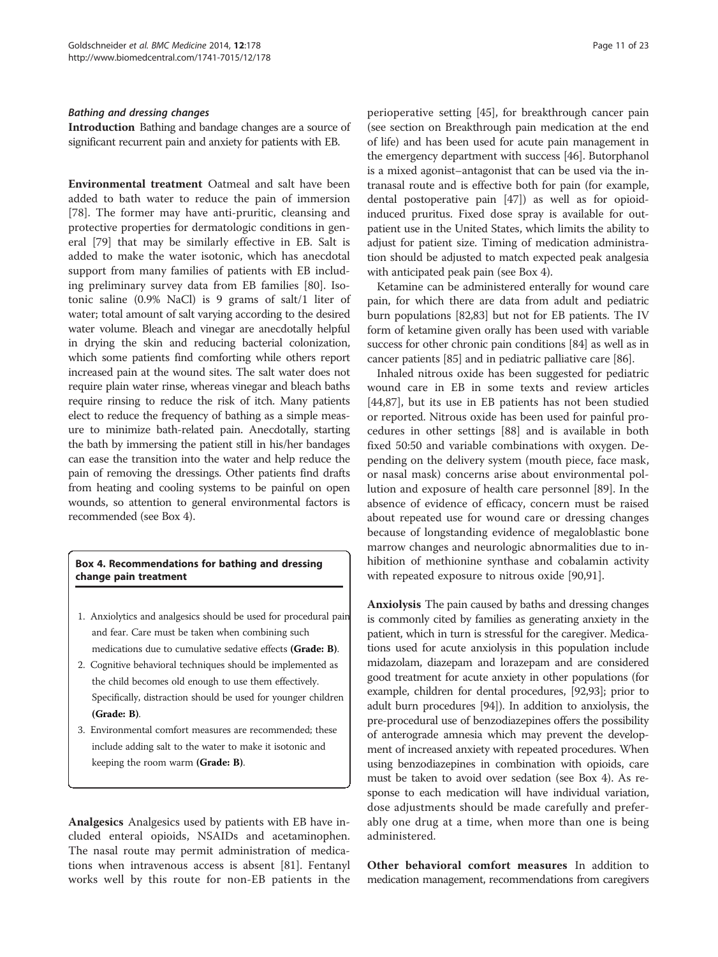#### <span id="page-10-0"></span>Bathing and dressing changes

Introduction Bathing and bandage changes are a source of significant recurrent pain and anxiety for patients with EB.

Environmental treatment Oatmeal and salt have been added to bath water to reduce the pain of immersion [[78\]](#page-20-0). The former may have anti-pruritic, cleansing and protective properties for dermatologic conditions in general [[79\]](#page-20-0) that may be similarly effective in EB. Salt is added to make the water isotonic, which has anecdotal support from many families of patients with EB including preliminary survey data from EB families [\[80](#page-20-0)]. Isotonic saline (0.9% NaCl) is 9 grams of salt/1 liter of water; total amount of salt varying according to the desired water volume. Bleach and vinegar are anecdotally helpful in drying the skin and reducing bacterial colonization, which some patients find comforting while others report increased pain at the wound sites. The salt water does not require plain water rinse, whereas vinegar and bleach baths require rinsing to reduce the risk of itch. Many patients elect to reduce the frequency of bathing as a simple measure to minimize bath-related pain. Anecdotally, starting the bath by immersing the patient still in his/her bandages can ease the transition into the water and help reduce the pain of removing the dressings. Other patients find drafts from heating and cooling systems to be painful on open wounds, so attention to general environmental factors is recommended (see Box 4).

## Box 4. Recommendations for bathing and dressing change pain treatment

- 1. Anxiolytics and analgesics should be used for procedural pain and fear. Care must be taken when combining such medications due to cumulative sedative effects (Grade: B).
- 2. Cognitive behavioral techniques should be implemented as the child becomes old enough to use them effectively. Specifically, distraction should be used for younger children (Grade: B).
- 3. Environmental comfort measures are recommended; these include adding salt to the water to make it isotonic and keeping the room warm (Grade: B).

Analgesics Analgesics used by patients with EB have included enteral opioids, NSAIDs and acetaminophen. The nasal route may permit administration of medications when intravenous access is absent [[81\]](#page-20-0). Fentanyl works well by this route for non-EB patients in the

perioperative setting [\[45\]](#page-19-0), for breakthrough cancer pain (see section on Breakthrough pain medication at the end of life) and has been used for acute pain management in the emergency department with success [[46](#page-19-0)]. Butorphanol is a mixed agonist–antagonist that can be used via the intranasal route and is effective both for pain (for example, dental postoperative pain [[47\]](#page-19-0)) as well as for opioidinduced pruritus. Fixed dose spray is available for outpatient use in the United States, which limits the ability to adjust for patient size. Timing of medication administration should be adjusted to match expected peak analgesia with anticipated peak pain (see Box 4).

Ketamine can be administered enterally for wound care pain, for which there are data from adult and pediatric burn populations [[82,83](#page-20-0)] but not for EB patients. The IV form of ketamine given orally has been used with variable success for other chronic pain conditions [\[84\]](#page-20-0) as well as in cancer patients [[85](#page-20-0)] and in pediatric palliative care [[86](#page-20-0)].

Inhaled nitrous oxide has been suggested for pediatric wound care in EB in some texts and review articles [[44,](#page-19-0)[87\]](#page-20-0), but its use in EB patients has not been studied or reported. Nitrous oxide has been used for painful procedures in other settings [[88\]](#page-20-0) and is available in both fixed 50:50 and variable combinations with oxygen. Depending on the delivery system (mouth piece, face mask, or nasal mask) concerns arise about environmental pollution and exposure of health care personnel [[89](#page-20-0)]. In the absence of evidence of efficacy, concern must be raised about repeated use for wound care or dressing changes because of longstanding evidence of megaloblastic bone marrow changes and neurologic abnormalities due to inhibition of methionine synthase and cobalamin activity with repeated exposure to nitrous oxide [\[90,91](#page-20-0)].

Anxiolysis The pain caused by baths and dressing changes is commonly cited by families as generating anxiety in the patient, which in turn is stressful for the caregiver. Medications used for acute anxiolysis in this population include midazolam, diazepam and lorazepam and are considered good treatment for acute anxiety in other populations (for example, children for dental procedures, [[92,93\]](#page-20-0); prior to adult burn procedures [\[94\]](#page-20-0)). In addition to anxiolysis, the pre-procedural use of benzodiazepines offers the possibility of anterograde amnesia which may prevent the development of increased anxiety with repeated procedures. When using benzodiazepines in combination with opioids, care must be taken to avoid over sedation (see Box 4). As response to each medication will have individual variation, dose adjustments should be made carefully and preferably one drug at a time, when more than one is being administered.

Other behavioral comfort measures In addition to medication management, recommendations from caregivers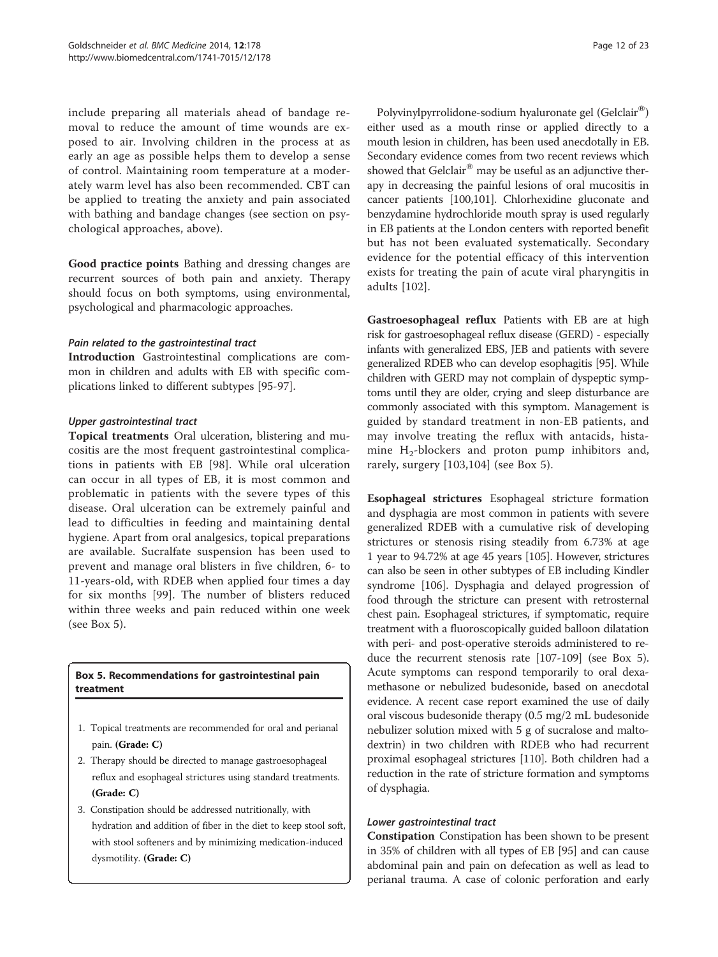include preparing all materials ahead of bandage removal to reduce the amount of time wounds are exposed to air. Involving children in the process at as early an age as possible helps them to develop a sense of control. Maintaining room temperature at a moderately warm level has also been recommended. CBT can be applied to treating the anxiety and pain associated with bathing and bandage changes (see section on [psy](#page-3-0)[chological approaches,](#page-3-0) above).

Good practice points Bathing and dressing changes are recurrent sources of both pain and anxiety. Therapy should focus on both symptoms, using environmental, psychological and pharmacologic approaches.

## Pain related to the gastrointestinal tract

Introduction Gastrointestinal complications are common in children and adults with EB with specific complications linked to different subtypes [[95-97](#page-20-0)].

## Upper gastrointestinal tract

Topical treatments Oral ulceration, blistering and mucositis are the most frequent gastrointestinal complications in patients with EB [[98\]](#page-20-0). While oral ulceration can occur in all types of EB, it is most common and problematic in patients with the severe types of this disease. Oral ulceration can be extremely painful and lead to difficulties in feeding and maintaining dental hygiene. Apart from oral analgesics, topical preparations are available. Sucralfate suspension has been used to prevent and manage oral blisters in five children, 6- to 11-years-old, with RDEB when applied four times a day for six months [[99\]](#page-20-0). The number of blisters reduced within three weeks and pain reduced within one week (see Box 5).

## Box 5. Recommendations for gastrointestinal pain treatment

- 1. Topical treatments are recommended for oral and perianal pain. (Grade: C)
- 2. Therapy should be directed to manage gastroesophageal reflux and esophageal strictures using standard treatments. (Grade: C)
- 3. Constipation should be addressed nutritionally, with hydration and addition of fiber in the diet to keep stool soft, with stool softeners and by minimizing medication-induced dysmotility. (Grade: C)

Polyvinylpyrrolidone-sodium hyaluronate gel (Gelclair®) either used as a mouth rinse or applied directly to a mouth lesion in children, has been used anecdotally in EB. Secondary evidence comes from two recent reviews which showed that Gelclair $^{\circledR}$  may be useful as an adjunctive therapy in decreasing the painful lesions of oral mucositis in cancer patients [\[100,101](#page-20-0)]. Chlorhexidine gluconate and benzydamine hydrochloride mouth spray is used regularly in EB patients at the London centers with reported benefit but has not been evaluated systematically. Secondary evidence for the potential efficacy of this intervention exists for treating the pain of acute viral pharyngitis in adults [\[102\]](#page-20-0).

Gastroesophageal reflux Patients with EB are at high risk for gastroesophageal reflux disease (GERD) - especially infants with generalized EBS, JEB and patients with severe generalized RDEB who can develop esophagitis [\[95\]](#page-20-0). While children with GERD may not complain of dyspeptic symptoms until they are older, crying and sleep disturbance are commonly associated with this symptom. Management is guided by standard treatment in non-EB patients, and may involve treating the reflux with antacids, histamine  $H_2$ -blockers and proton pump inhibitors and, rarely, surgery [\[103](#page-20-0),[104\]](#page-20-0) (see Box 5).

Esophageal strictures Esophageal stricture formation and dysphagia are most common in patients with severe generalized RDEB with a cumulative risk of developing strictures or stenosis rising steadily from 6.73% at age 1 year to 94.72% at age 45 years [[105](#page-20-0)]. However, strictures can also be seen in other subtypes of EB including Kindler syndrome [[106](#page-20-0)]. Dysphagia and delayed progression of food through the stricture can present with retrosternal chest pain. Esophageal strictures, if symptomatic, require treatment with a fluoroscopically guided balloon dilatation with peri- and post-operative steroids administered to reduce the recurrent stenosis rate [[107](#page-20-0)-[109](#page-20-0)] (see Box 5). Acute symptoms can respond temporarily to oral dexamethasone or nebulized budesonide, based on anecdotal evidence. A recent case report examined the use of daily oral viscous budesonide therapy (0.5 mg/2 mL budesonide nebulizer solution mixed with 5 g of sucralose and maltodextrin) in two children with RDEB who had recurrent proximal esophageal strictures [\[110\]](#page-20-0). Both children had a reduction in the rate of stricture formation and symptoms of dysphagia.

#### Lower gastrointestinal tract

Constipation Constipation has been shown to be present in 35% of children with all types of EB [\[95\]](#page-20-0) and can cause abdominal pain and pain on defecation as well as lead to perianal trauma. A case of colonic perforation and early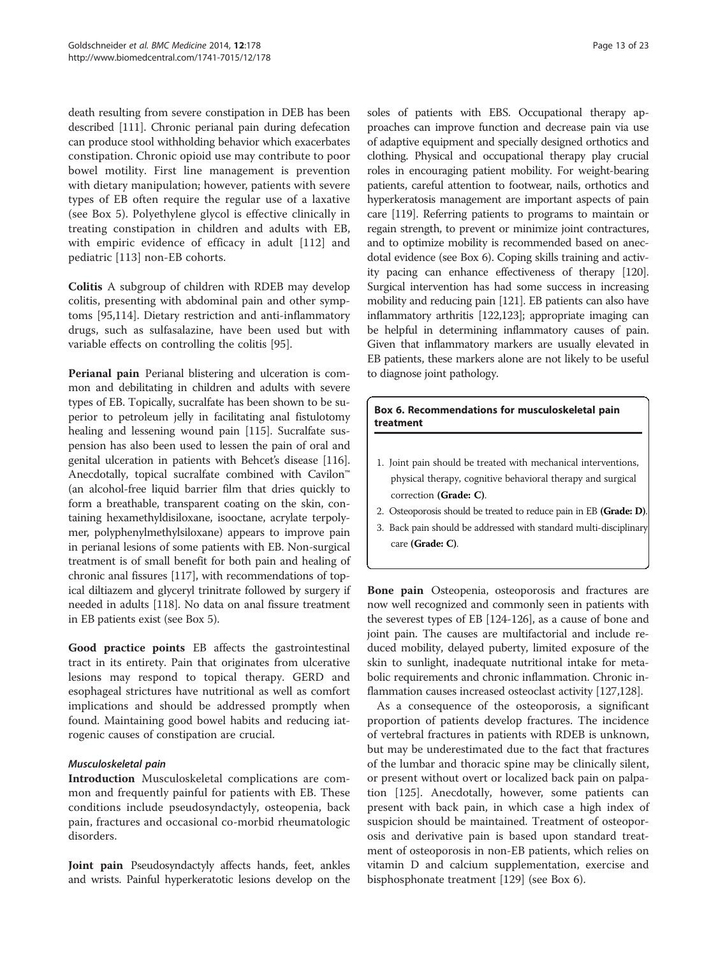death resulting from severe constipation in DEB has been described [[111](#page-20-0)]. Chronic perianal pain during defecation can produce stool withholding behavior which exacerbates constipation. Chronic opioid use may contribute to poor bowel motility. First line management is prevention with dietary manipulation; however, patients with severe types of EB often require the regular use of a laxative (see Box 5). Polyethylene glycol is effective clinically in treating constipation in children and adults with EB, with empiric evidence of efficacy in adult [[112\]](#page-20-0) and pediatric [[113\]](#page-20-0) non-EB cohorts.

Colitis A subgroup of children with RDEB may develop colitis, presenting with abdominal pain and other symptoms [[95](#page-20-0),[114](#page-20-0)]. Dietary restriction and anti-inflammatory drugs, such as sulfasalazine, have been used but with variable effects on controlling the colitis [[95](#page-20-0)].

Perianal pain Perianal blistering and ulceration is common and debilitating in children and adults with severe types of EB. Topically, sucralfate has been shown to be superior to petroleum jelly in facilitating anal fistulotomy healing and lessening wound pain [\[115\]](#page-20-0). Sucralfate suspension has also been used to lessen the pain of oral and genital ulceration in patients with Behcet's disease [[116](#page-20-0)]. Anecdotally, topical sucralfate combined with Cavilon™ (an alcohol-free liquid barrier film that dries quickly to form a breathable, transparent coating on the skin, containing hexamethyldisiloxane, isooctane, acrylate terpolymer, polyphenylmethylsiloxane) appears to improve pain in perianal lesions of some patients with EB. Non-surgical treatment is of small benefit for both pain and healing of chronic anal fissures [[117](#page-20-0)], with recommendations of topical diltiazem and glyceryl trinitrate followed by surgery if needed in adults [\[118\]](#page-20-0). No data on anal fissure treatment in EB patients exist (see Box 5).

Good practice points EB affects the gastrointestinal tract in its entirety. Pain that originates from ulcerative lesions may respond to topical therapy. GERD and esophageal strictures have nutritional as well as comfort implications and should be addressed promptly when found. Maintaining good bowel habits and reducing iatrogenic causes of constipation are crucial.

## Musculoskeletal pain

Introduction Musculoskeletal complications are common and frequently painful for patients with EB. These conditions include pseudosyndactyly, osteopenia, back pain, fractures and occasional co-morbid rheumatologic disorders.

Joint pain Pseudosyndactyly affects hands, feet, ankles and wrists. Painful hyperkeratotic lesions develop on the

soles of patients with EBS. Occupational therapy approaches can improve function and decrease pain via use of adaptive equipment and specially designed orthotics and clothing. Physical and occupational therapy play crucial roles in encouraging patient mobility. For weight-bearing patients, careful attention to footwear, nails, orthotics and hyperkeratosis management are important aspects of pain care [\[119](#page-20-0)]. Referring patients to programs to maintain or regain strength, to prevent or minimize joint contractures, and to optimize mobility is recommended based on anecdotal evidence (see Box 6). Coping skills training and activity pacing can enhance effectiveness of therapy [\[120](#page-20-0)]. Surgical intervention has had some success in increasing mobility and reducing pain [[121](#page-20-0)]. EB patients can also have inflammatory arthritis [\[122,123\]](#page-20-0); appropriate imaging can be helpful in determining inflammatory causes of pain. Given that inflammatory markers are usually elevated in EB patients, these markers alone are not likely to be useful to diagnose joint pathology.

## Box 6. Recommendations for musculoskeletal pain treatment

- 1. Joint pain should be treated with mechanical interventions, physical therapy, cognitive behavioral therapy and surgical correction (Grade: C).
- 2. Osteoporosis should be treated to reduce pain in EB (Grade: D).
- 3. Back pain should be addressed with standard multi-disciplinary care (Grade: C).

Bone pain Osteopenia, osteoporosis and fractures are now well recognized and commonly seen in patients with the severest types of EB [\[124-126\]](#page-20-0), as a cause of bone and joint pain. The causes are multifactorial and include reduced mobility, delayed puberty, limited exposure of the skin to sunlight, inadequate nutritional intake for metabolic requirements and chronic inflammation. Chronic inflammation causes increased osteoclast activity [[127,128](#page-21-0)].

As a consequence of the osteoporosis, a significant proportion of patients develop fractures. The incidence of vertebral fractures in patients with RDEB is unknown, but may be underestimated due to the fact that fractures of the lumbar and thoracic spine may be clinically silent, or present without overt or localized back pain on palpation [[125\]](#page-20-0). Anecdotally, however, some patients can present with back pain, in which case a high index of suspicion should be maintained. Treatment of osteoporosis and derivative pain is based upon standard treatment of osteoporosis in non-EB patients, which relies on vitamin D and calcium supplementation, exercise and bisphosphonate treatment [[129](#page-21-0)] (see Box 6).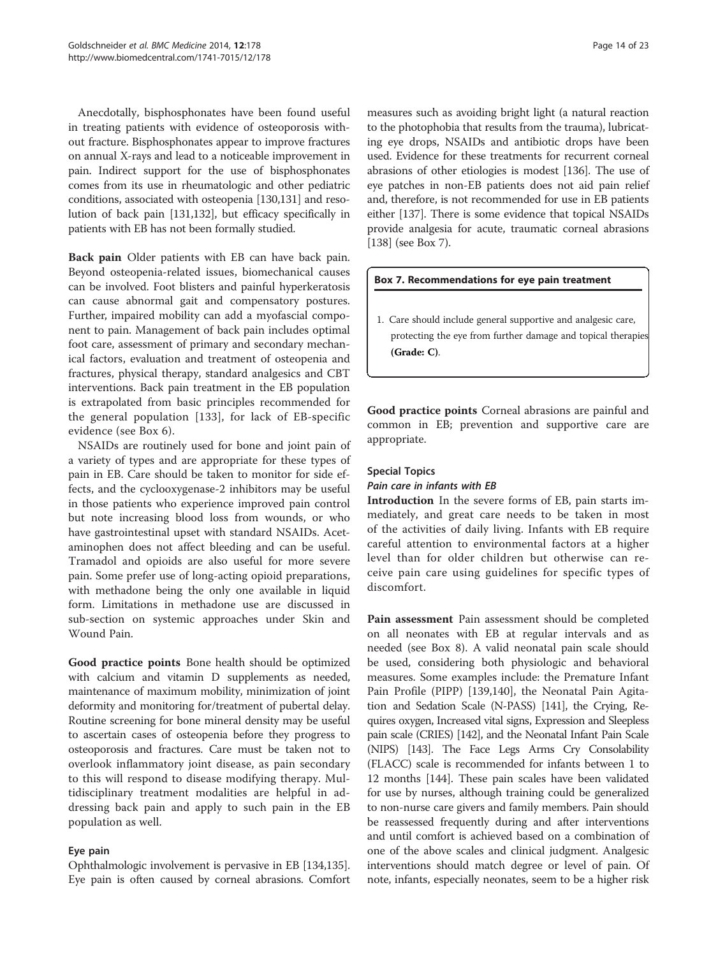Anecdotally, bisphosphonates have been found useful in treating patients with evidence of osteoporosis without fracture. Bisphosphonates appear to improve fractures on annual X-rays and lead to a noticeable improvement in pain. Indirect support for the use of bisphosphonates comes from its use in rheumatologic and other pediatric conditions, associated with osteopenia [[130,131\]](#page-21-0) and resolution of back pain [[131,132\]](#page-21-0), but efficacy specifically in patients with EB has not been formally studied.

Back pain Older patients with EB can have back pain. Beyond osteopenia-related issues, biomechanical causes can be involved. Foot blisters and painful hyperkeratosis can cause abnormal gait and compensatory postures. Further, impaired mobility can add a myofascial component to pain. Management of back pain includes optimal foot care, assessment of primary and secondary mechanical factors, evaluation and treatment of osteopenia and fractures, physical therapy, standard analgesics and CBT interventions. Back pain treatment in the EB population is extrapolated from basic principles recommended for the general population [[133](#page-21-0)], for lack of EB-specific evidence (see Box 6).

NSAIDs are routinely used for bone and joint pain of a variety of types and are appropriate for these types of pain in EB. Care should be taken to monitor for side effects, and the cyclooxygenase-2 inhibitors may be useful in those patients who experience improved pain control but note increasing blood loss from wounds, or who have gastrointestinal upset with standard NSAIDs. Acetaminophen does not affect bleeding and can be useful. Tramadol and opioids are also useful for more severe pain. Some prefer use of long-acting opioid preparations, with methadone being the only one available in liquid form. Limitations in methadone use are discussed in sub-section on systemic approaches under Skin and Wound Pain.

Good practice points Bone health should be optimized with calcium and vitamin D supplements as needed, maintenance of maximum mobility, minimization of joint deformity and monitoring for/treatment of pubertal delay. Routine screening for bone mineral density may be useful to ascertain cases of osteopenia before they progress to osteoporosis and fractures. Care must be taken not to overlook inflammatory joint disease, as pain secondary to this will respond to disease modifying therapy. Multidisciplinary treatment modalities are helpful in addressing back pain and apply to such pain in the EB population as well.

## Eye pain

Ophthalmologic involvement is pervasive in EB [\[134,135](#page-21-0)]. Eye pain is often caused by corneal abrasions. Comfort

measures such as avoiding bright light (a natural reaction to the photophobia that results from the trauma), lubricating eye drops, NSAIDs and antibiotic drops have been used. Evidence for these treatments for recurrent corneal abrasions of other etiologies is modest [\[136\]](#page-21-0). The use of eye patches in non-EB patients does not aid pain relief and, therefore, is not recommended for use in EB patients either [\[137\]](#page-21-0). There is some evidence that topical NSAIDs provide analgesia for acute, traumatic corneal abrasions [[138](#page-21-0)] (see Box 7).

## Box 7. Recommendations for eye pain treatment

1. Care should include general supportive and analgesic care, protecting the eye from further damage and topical therapies (Grade: C).

Good practice points Corneal abrasions are painful and common in EB; prevention and supportive care are appropriate.

## Special Topics

## Pain care in infants with EB

Introduction In the severe forms of EB, pain starts immediately, and great care needs to be taken in most of the activities of daily living. Infants with EB require careful attention to environmental factors at a higher level than for older children but otherwise can receive pain care using guidelines for specific types of discomfort.

Pain assessment Pain assessment should be completed on all neonates with EB at regular intervals and as needed (see Box 8). A valid neonatal pain scale should be used, considering both physiologic and behavioral measures. Some examples include: the Premature Infant Pain Profile (PIPP) [[139,140](#page-21-0)], the Neonatal Pain Agitation and Sedation Scale (N-PASS) [\[141](#page-21-0)], the Crying, Requires oxygen, Increased vital signs, Expression and Sleepless pain scale (CRIES) [\[142\]](#page-21-0), and the Neonatal Infant Pain Scale (NIPS) [\[143\]](#page-21-0). The Face Legs Arms Cry Consolability (FLACC) scale is recommended for infants between 1 to 12 months [\[144](#page-21-0)]. These pain scales have been validated for use by nurses, although training could be generalized to non-nurse care givers and family members. Pain should be reassessed frequently during and after interventions and until comfort is achieved based on a combination of one of the above scales and clinical judgment. Analgesic interventions should match degree or level of pain. Of note, infants, especially neonates, seem to be a higher risk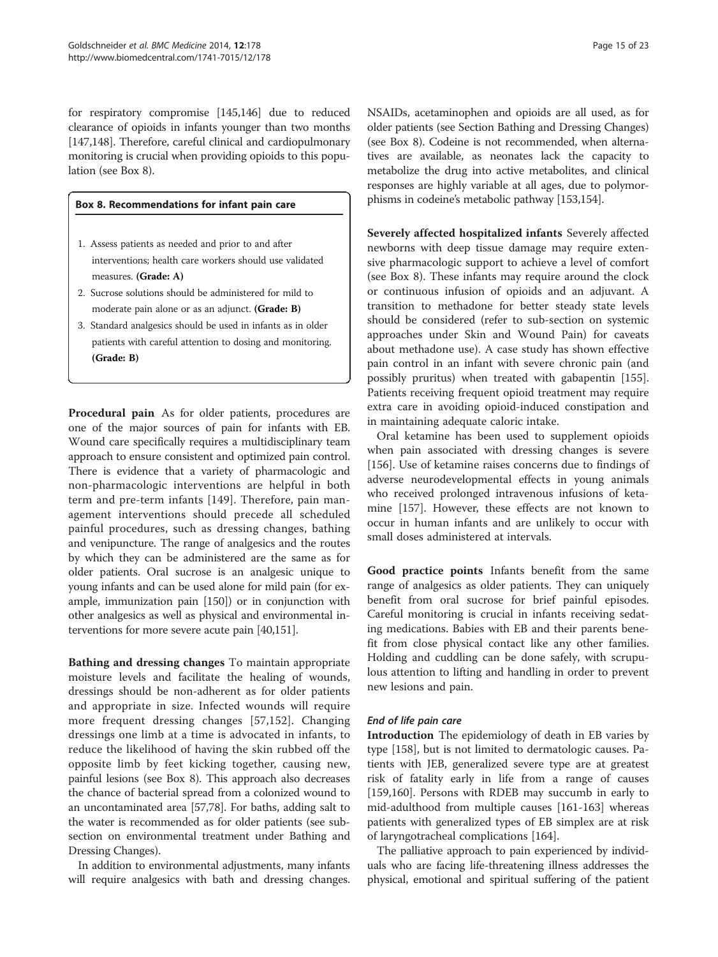for respiratory compromise [[145,146\]](#page-21-0) due to reduced clearance of opioids in infants younger than two months [[147,148\]](#page-21-0). Therefore, careful clinical and cardiopulmonary monitoring is crucial when providing opioids to this population (see Box 8).

#### Box 8. Recommendations for infant pain care

- 1. Assess patients as needed and prior to and after interventions; health care workers should use validated measures. (Grade: A)
- 2. Sucrose solutions should be administered for mild to moderate pain alone or as an adjunct. (Grade: B)
- 3. Standard analgesics should be used in infants as in older patients with careful attention to dosing and monitoring. (Grade: B)

Procedural pain As for older patients, procedures are one of the major sources of pain for infants with EB. Wound care specifically requires a multidisciplinary team approach to ensure consistent and optimized pain control. There is evidence that a variety of pharmacologic and non-pharmacologic interventions are helpful in both term and pre-term infants [\[149\]](#page-21-0). Therefore, pain management interventions should precede all scheduled painful procedures, such as dressing changes, bathing and venipuncture. The range of analgesics and the routes by which they can be administered are the same as for older patients. Oral sucrose is an analgesic unique to young infants and can be used alone for mild pain (for example, immunization pain [[150](#page-21-0)]) or in conjunction with other analgesics as well as physical and environmental interventions for more severe acute pain [\[40,](#page-19-0)[151](#page-21-0)].

Bathing and dressing changes To maintain appropriate moisture levels and facilitate the healing of wounds, dressings should be non-adherent as for older patients and appropriate in size. Infected wounds will require more frequent dressing changes [[57](#page-19-0)[,152](#page-21-0)]. Changing dressings one limb at a time is advocated in infants, to reduce the likelihood of having the skin rubbed off the opposite limb by feet kicking together, causing new, painful lesions (see Box 8). This approach also decreases the chance of bacterial spread from a colonized wound to an uncontaminated area [\[57](#page-19-0)[,78\]](#page-20-0). For baths, adding salt to the water is recommended as for older patients (see subsection on environmental treatment under [Bathing and](#page-10-0) [Dressing Changes](#page-10-0)).

In addition to environmental adjustments, many infants will require analgesics with bath and dressing changes. phisms in codeine's metabolic pathway [\[153,154](#page-21-0)].

Severely affected hospitalized infants Severely affected newborns with deep tissue damage may require extensive pharmacologic support to achieve a level of comfort (see Box 8). These infants may require around the clock or continuous infusion of opioids and an adjuvant. A transition to methadone for better steady state levels should be considered (refer to sub-section on systemic approaches under Skin and Wound Pain) for caveats about methadone use). A case study has shown effective pain control in an infant with severe chronic pain (and possibly pruritus) when treated with gabapentin [[155](#page-21-0)]. Patients receiving frequent opioid treatment may require extra care in avoiding opioid-induced constipation and in maintaining adequate caloric intake.

Oral ketamine has been used to supplement opioids when pain associated with dressing changes is severe [[156\]](#page-21-0). Use of ketamine raises concerns due to findings of adverse neurodevelopmental effects in young animals who received prolonged intravenous infusions of ketamine [[157](#page-21-0)]. However, these effects are not known to occur in human infants and are unlikely to occur with small doses administered at intervals.

Good practice points Infants benefit from the same range of analgesics as older patients. They can uniquely benefit from oral sucrose for brief painful episodes. Careful monitoring is crucial in infants receiving sedating medications. Babies with EB and their parents benefit from close physical contact like any other families. Holding and cuddling can be done safely, with scrupulous attention to lifting and handling in order to prevent new lesions and pain.

## End of life pain care

Introduction The epidemiology of death in EB varies by type [\[158\]](#page-21-0), but is not limited to dermatologic causes. Patients with JEB, generalized severe type are at greatest risk of fatality early in life from a range of causes [[159,160](#page-21-0)]. Persons with RDEB may succumb in early to mid-adulthood from multiple causes [\[161](#page-21-0)-[163](#page-21-0)] whereas patients with generalized types of EB simplex are at risk of laryngotracheal complications [\[164\]](#page-21-0).

The palliative approach to pain experienced by individuals who are facing life-threatening illness addresses the physical, emotional and spiritual suffering of the patient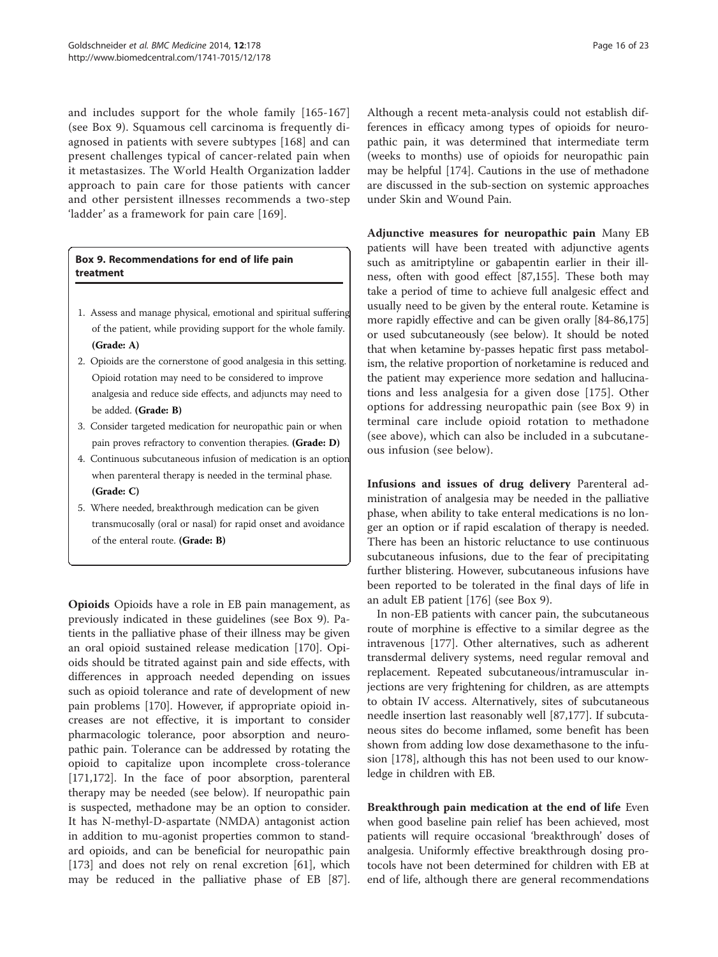and includes support for the whole family [\[165](#page-21-0)-[167](#page-21-0)] (see Box 9). Squamous cell carcinoma is frequently diagnosed in patients with severe subtypes [[168\]](#page-21-0) and can present challenges typical of cancer-related pain when it metastasizes. The World Health Organization ladder approach to pain care for those patients with cancer and other persistent illnesses recommends a two-step 'ladder' as a framework for pain care [\[169](#page-21-0)].

## Box 9. Recommendations for end of life pain treatment

- 1. Assess and manage physical, emotional and spiritual suffering of the patient, while providing support for the whole family. (Grade: A)
- 2. Opioids are the cornerstone of good analgesia in this setting. Opioid rotation may need to be considered to improve analgesia and reduce side effects, and adjuncts may need to be added. (Grade: B)
- 3. Consider targeted medication for neuropathic pain or when pain proves refractory to convention therapies. (Grade: D)
- 4. Continuous subcutaneous infusion of medication is an option when parenteral therapy is needed in the terminal phase. (Grade: C)
- 5. Where needed, breakthrough medication can be given transmucosally (oral or nasal) for rapid onset and avoidance of the enteral route. (Grade: B)

Opioids Opioids have a role in EB pain management, as previously indicated in these guidelines (see Box 9). Patients in the palliative phase of their illness may be given an oral opioid sustained release medication [\[170\]](#page-21-0). Opioids should be titrated against pain and side effects, with differences in approach needed depending on issues such as opioid tolerance and rate of development of new pain problems [\[170\]](#page-21-0). However, if appropriate opioid increases are not effective, it is important to consider pharmacologic tolerance, poor absorption and neuropathic pain. Tolerance can be addressed by rotating the opioid to capitalize upon incomplete cross-tolerance [[171,172](#page-21-0)]. In the face of poor absorption, parenteral therapy may be needed (see below). If neuropathic pain is suspected, methadone may be an option to consider. It has N-methyl-D-aspartate (NMDA) antagonist action in addition to mu-agonist properties common to standard opioids, and can be beneficial for neuropathic pain [[173\]](#page-21-0) and does not rely on renal excretion [[61](#page-19-0)], which may be reduced in the palliative phase of EB [\[87](#page-20-0)]. Although a recent meta-analysis could not establish differences in efficacy among types of opioids for neuropathic pain, it was determined that intermediate term (weeks to months) use of opioids for neuropathic pain may be helpful [\[174\]](#page-21-0). Cautions in the use of methadone are discussed in the sub-section on systemic approaches under Skin and Wound Pain.

Adjunctive measures for neuropathic pain Many EB patients will have been treated with adjunctive agents such as amitriptyline or gabapentin earlier in their illness, often with good effect [\[87](#page-20-0)[,155](#page-21-0)]. These both may take a period of time to achieve full analgesic effect and usually need to be given by the enteral route. Ketamine is more rapidly effective and can be given orally [\[84-86,](#page-20-0)[175](#page-21-0)] or used subcutaneously (see below). It should be noted that when ketamine by-passes hepatic first pass metabolism, the relative proportion of norketamine is reduced and the patient may experience more sedation and hallucinations and less analgesia for a given dose [[175\]](#page-21-0). Other options for addressing neuropathic pain (see Box 9) in terminal care include opioid rotation to methadone (see above), which can also be included in a subcutaneous infusion (see below).

Infusions and issues of drug delivery Parenteral administration of analgesia may be needed in the palliative phase, when ability to take enteral medications is no longer an option or if rapid escalation of therapy is needed. There has been an historic reluctance to use continuous subcutaneous infusions, due to the fear of precipitating further blistering. However, subcutaneous infusions have been reported to be tolerated in the final days of life in an adult EB patient [[176\]](#page-22-0) (see Box 9).

In non-EB patients with cancer pain, the subcutaneous route of morphine is effective to a similar degree as the intravenous [\[177\]](#page-22-0). Other alternatives, such as adherent transdermal delivery systems, need regular removal and replacement. Repeated subcutaneous/intramuscular injections are very frightening for children, as are attempts to obtain IV access. Alternatively, sites of subcutaneous needle insertion last reasonably well [\[87](#page-20-0)[,177\]](#page-22-0). If subcutaneous sites do become inflamed, some benefit has been shown from adding low dose dexamethasone to the infusion [[178](#page-22-0)], although this has not been used to our knowledge in children with EB.

Breakthrough pain medication at the end of life Even when good baseline pain relief has been achieved, most patients will require occasional 'breakthrough' doses of analgesia. Uniformly effective breakthrough dosing protocols have not been determined for children with EB at end of life, although there are general recommendations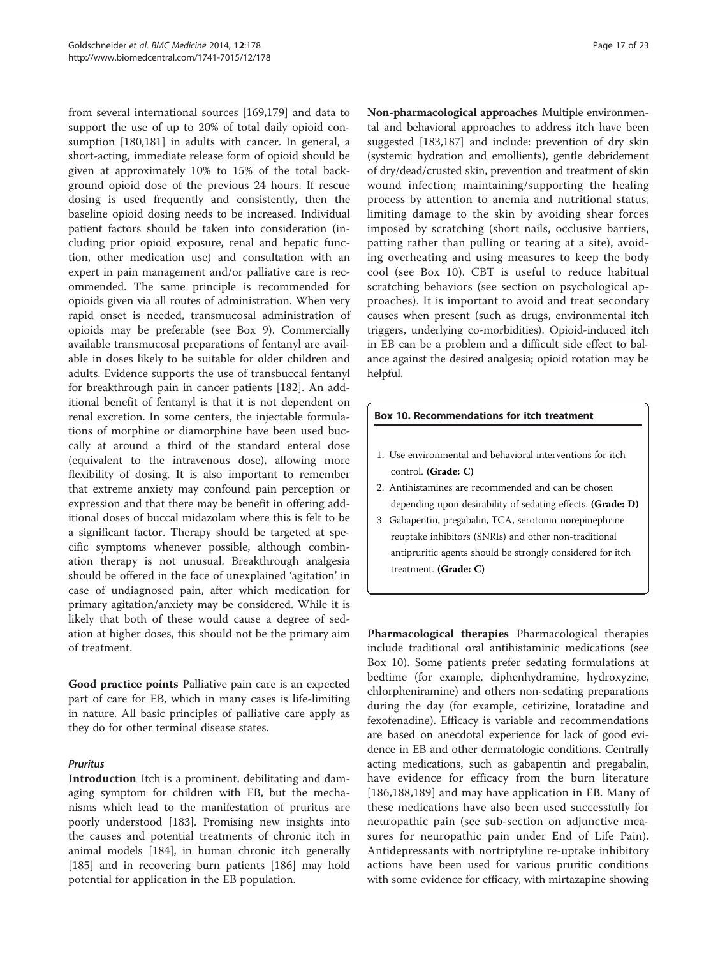from several international sources [[169](#page-21-0)[,179](#page-22-0)] and data to support the use of up to 20% of total daily opioid consumption [[180](#page-22-0),[181](#page-22-0)] in adults with cancer. In general, a short-acting, immediate release form of opioid should be given at approximately 10% to 15% of the total background opioid dose of the previous 24 hours. If rescue dosing is used frequently and consistently, then the baseline opioid dosing needs to be increased. Individual patient factors should be taken into consideration (including prior opioid exposure, renal and hepatic function, other medication use) and consultation with an expert in pain management and/or palliative care is recommended. The same principle is recommended for opioids given via all routes of administration. When very rapid onset is needed, transmucosal administration of opioids may be preferable (see Box 9). Commercially available transmucosal preparations of fentanyl are available in doses likely to be suitable for older children and adults. Evidence supports the use of transbuccal fentanyl for breakthrough pain in cancer patients [[182](#page-22-0)]. An additional benefit of fentanyl is that it is not dependent on renal excretion. In some centers, the injectable formulations of morphine or diamorphine have been used buccally at around a third of the standard enteral dose (equivalent to the intravenous dose), allowing more flexibility of dosing. It is also important to remember that extreme anxiety may confound pain perception or expression and that there may be benefit in offering additional doses of buccal midazolam where this is felt to be a significant factor. Therapy should be targeted at specific symptoms whenever possible, although combination therapy is not unusual. Breakthrough analgesia should be offered in the face of unexplained 'agitation' in case of undiagnosed pain, after which medication for primary agitation/anxiety may be considered. While it is likely that both of these would cause a degree of sedation at higher doses, this should not be the primary aim of treatment.

Good practice points Palliative pain care is an expected part of care for EB, which in many cases is life-limiting in nature. All basic principles of palliative care apply as they do for other terminal disease states.

## Pruritus

Introduction Itch is a prominent, debilitating and damaging symptom for children with EB, but the mechanisms which lead to the manifestation of pruritus are poorly understood [\[183\]](#page-22-0). Promising new insights into the causes and potential treatments of chronic itch in animal models [\[184](#page-22-0)], in human chronic itch generally [[185\]](#page-22-0) and in recovering burn patients [[186](#page-22-0)] may hold potential for application in the EB population.

Non-pharmacological approaches Multiple environmental and behavioral approaches to address itch have been suggested [\[183,187](#page-22-0)] and include: prevention of dry skin (systemic hydration and emollients), gentle debridement of dry/dead/crusted skin, prevention and treatment of skin wound infection; maintaining/supporting the healing process by attention to anemia and nutritional status, limiting damage to the skin by avoiding shear forces imposed by scratching (short nails, occlusive barriers, patting rather than pulling or tearing at a site), avoiding overheating and using measures to keep the body cool (see Box 10). CBT is useful to reduce habitual scratching behaviors (see section on [psychological ap](#page-3-0)[proaches](#page-3-0)). It is important to avoid and treat secondary causes when present (such as drugs, environmental itch triggers, underlying co-morbidities). Opioid-induced itch in EB can be a problem and a difficult side effect to balance against the desired analgesia; opioid rotation may be helpful.

## Box 10. Recommendations for itch treatment

- 1. Use environmental and behavioral interventions for itch control. (Grade: C)
- 2. Antihistamines are recommended and can be chosen depending upon desirability of sedating effects. (Grade: D)
- 3. Gabapentin, pregabalin, TCA, serotonin norepinephrine reuptake inhibitors (SNRIs) and other non-traditional antipruritic agents should be strongly considered for itch treatment. (Grade: C)

Pharmacological therapies Pharmacological therapies include traditional oral antihistaminic medications (see Box 10). Some patients prefer sedating formulations at bedtime (for example, diphenhydramine, hydroxyzine, chlorpheniramine) and others non-sedating preparations during the day (for example, cetirizine, loratadine and fexofenadine). Efficacy is variable and recommendations are based on anecdotal experience for lack of good evidence in EB and other dermatologic conditions. Centrally acting medications, such as gabapentin and pregabalin, have evidence for efficacy from the burn literature [[186](#page-22-0),[188,189](#page-22-0)] and may have application in EB. Many of these medications have also been used successfully for neuropathic pain (see sub-section on adjunctive measures for neuropathic pain under End of Life Pain). Antidepressants with nortriptyline re-uptake inhibitory actions have been used for various pruritic conditions with some evidence for efficacy, with mirtazapine showing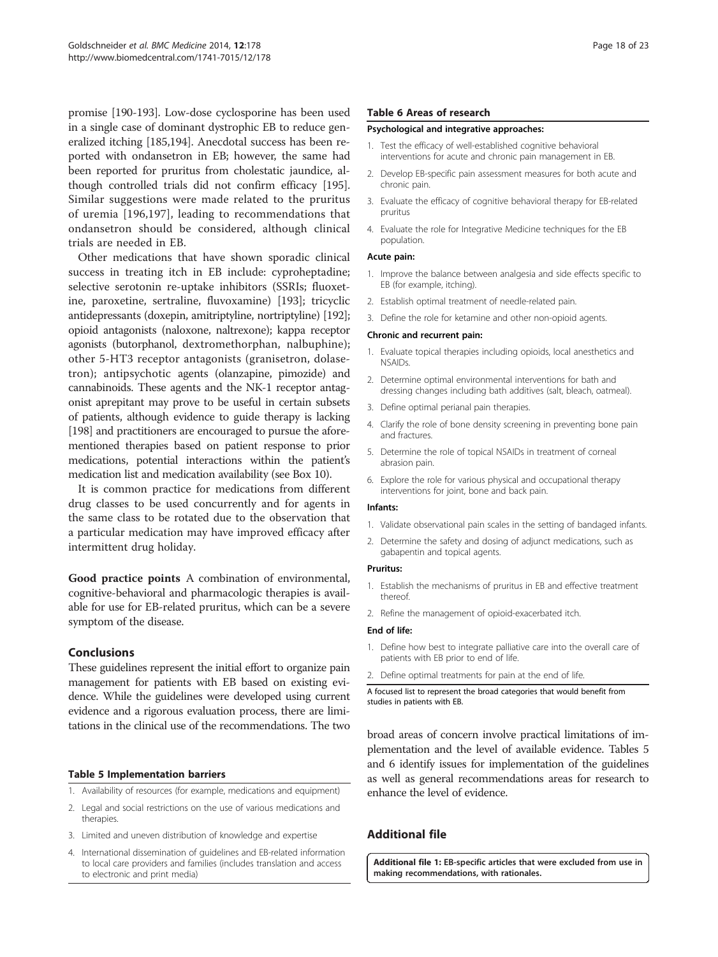<span id="page-17-0"></span>promise [[190](#page-22-0)-[193](#page-22-0)]. Low-dose cyclosporine has been used in a single case of dominant dystrophic EB to reduce generalized itching [\[185,194](#page-22-0)]. Anecdotal success has been reported with ondansetron in EB; however, the same had been reported for pruritus from cholestatic jaundice, although controlled trials did not confirm efficacy [[195](#page-22-0)]. Similar suggestions were made related to the pruritus of uremia [[196,197](#page-22-0)], leading to recommendations that ondansetron should be considered, although clinical trials are needed in EB.

Other medications that have shown sporadic clinical success in treating itch in EB include: cyproheptadine; selective serotonin re-uptake inhibitors (SSRIs; fluoxetine, paroxetine, sertraline, fluvoxamine) [\[193](#page-22-0)]; tricyclic antidepressants (doxepin, amitriptyline, nortriptyline) [\[192](#page-22-0)]; opioid antagonists (naloxone, naltrexone); kappa receptor agonists (butorphanol, dextromethorphan, nalbuphine); other 5-HT3 receptor antagonists (granisetron, dolasetron); antipsychotic agents (olanzapine, pimozide) and cannabinoids. These agents and the NK-1 receptor antagonist aprepitant may prove to be useful in certain subsets of patients, although evidence to guide therapy is lacking [[198\]](#page-22-0) and practitioners are encouraged to pursue the aforementioned therapies based on patient response to prior medications, potential interactions within the patient's medication list and medication availability (see Box 10).

It is common practice for medications from different drug classes to be used concurrently and for agents in the same class to be rotated due to the observation that a particular medication may have improved efficacy after intermittent drug holiday.

Good practice points A combination of environmental, cognitive-behavioral and pharmacologic therapies is available for use for EB-related pruritus, which can be a severe symptom of the disease.

#### Conclusions

These guidelines represent the initial effort to organize pain management for patients with EB based on existing evidence. While the guidelines were developed using current evidence and a rigorous evaluation process, there are limitations in the clinical use of the recommendations. The two

#### Table 5 Implementation barriers

- 1. Availability of resources (for example, medications and equipment)
- 2. Legal and social restrictions on the use of various medications and therapies.
- 3. Limited and uneven distribution of knowledge and expertise
- 4. International dissemination of guidelines and EB-related information to local care providers and families (includes translation and access to electronic and print media)

#### Table 6 Areas of research

#### Psychological and integrative approaches:

- 1. Test the efficacy of well-established cognitive behavioral interventions for acute and chronic pain management in EB.
- 2. Develop EB-specific pain assessment measures for both acute and chronic pain.
- 3. Evaluate the efficacy of cognitive behavioral therapy for EB-related pruritus
- 4. Evaluate the role for Integrative Medicine techniques for the EB population.

#### Acute pain:

- 1. Improve the balance between analgesia and side effects specific to EB (for example, itching).
- 2. Establish optimal treatment of needle-related pain.
- 3. Define the role for ketamine and other non-opioid agents.

#### Chronic and recurrent pain:

- 1. Evaluate topical therapies including opioids, local anesthetics and NSAIDs.
- 2. Determine optimal environmental interventions for bath and dressing changes including bath additives (salt, bleach, oatmeal).
- 3. Define optimal perianal pain therapies.
- 4. Clarify the role of bone density screening in preventing bone pain and fractures.
- 5. Determine the role of topical NSAIDs in treatment of corneal abrasion pain.
- 6. Explore the role for various physical and occupational therapy interventions for joint, bone and back pain.

#### Infants:

- 1. Validate observational pain scales in the setting of bandaged infants.
- 2. Determine the safety and dosing of adjunct medications, such as gabapentin and topical agents.

## Pruritus:

- 1. Establish the mechanisms of pruritus in EB and effective treatment thereof.
- 2. Refine the management of opioid-exacerbated itch.

#### End of life:

1. Define how best to integrate palliative care into the overall care of patients with EB prior to end of life.

A focused list to represent the broad categories that would benefit from studies in patients with EB.

broad areas of concern involve practical limitations of implementation and the level of available evidence. Tables 5 and 6 identify issues for implementation of the guidelines as well as general recommendations areas for research to enhance the level of evidence.

#### Additional file

[Additional file 1:](http://www.biomedcentral.com/content/supplementary/s12916-014-0178-2-s1.doc) EB-specific articles that were excluded from use in making recommendations, with rationales.

<sup>2.</sup> Define optimal treatments for pain at the end of life.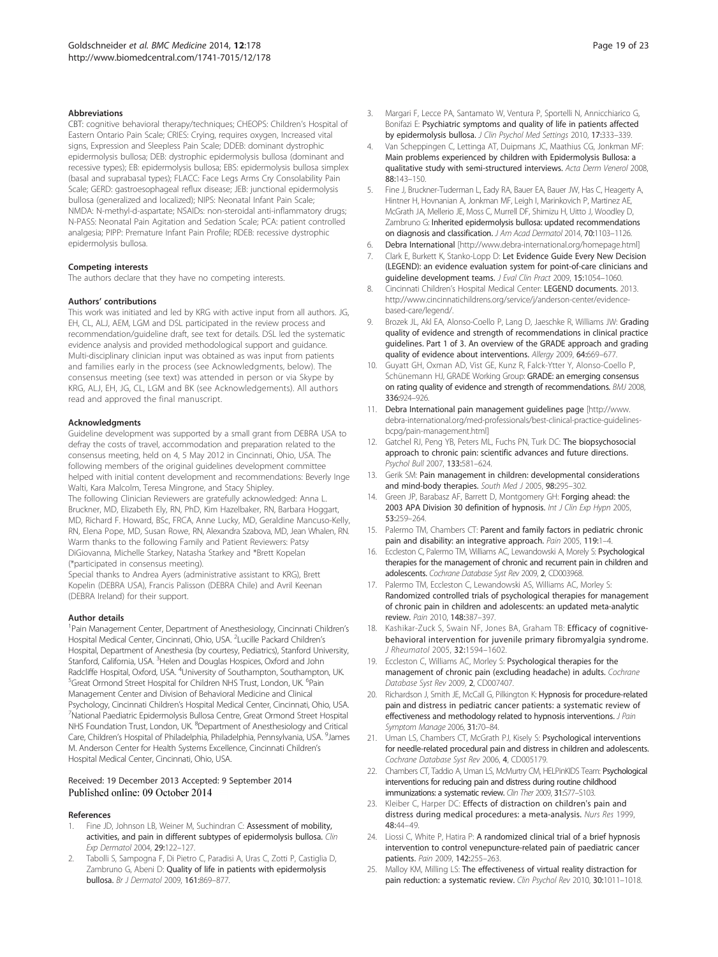#### <span id="page-18-0"></span>**Abbreviations**

CBT: cognitive behavioral therapy/techniques; CHEOPS: Children's Hospital of Eastern Ontario Pain Scale; CRIES: Crying, requires oxygen, Increased vital signs, Expression and Sleepless Pain Scale; DDEB: dominant dystrophic epidermolysis bullosa; DEB: dystrophic epidermolysis bullosa (dominant and recessive types); EB: epidermolysis bullosa; EBS: epidermolysis bullosa simplex (basal and suprabasal types); FLACC: Face Legs Arms Cry Consolability Pain Scale; GERD: gastroesophageal reflux disease; JEB: junctional epidermolysis bullosa (generalized and localized); NIPS: Neonatal Infant Pain Scale; NMDA: N-methyl-d-aspartate; NSAIDs: non-steroidal anti-inflammatory drugs; N-PASS: Neonatal Pain Agitation and Sedation Scale; PCA: patient controlled analgesia; PIPP: Premature Infant Pain Profile; RDEB: recessive dystrophic epidermolysis bullosa.

#### Competing interests

The authors declare that they have no competing interests.

#### Authors' contributions

This work was initiated and led by KRG with active input from all authors. JG, EH, CL, ALJ, AEM, LGM and DSL participated in the review process and recommendation/guideline draft, see text for details. DSL led the systematic evidence analysis and provided methodological support and guidance. Multi-disciplinary clinician input was obtained as was input from patients and families early in the process (see Acknowledgments, below). The consensus meeting (see text) was attended in person or via Skype by KRG, ALJ, EH, JG, CL, LGM and BK (see Acknowledgements). All authors read and approved the final manuscript.

#### Acknowledgments

Guideline development was supported by a small grant from DEBRA USA to defray the costs of travel, accommodation and preparation related to the consensus meeting, held on 4, 5 May 2012 in Cincinnati, Ohio, USA. The following members of the original guidelines development committee helped with initial content development and recommendations: Beverly Inge Walti, Kara Malcolm, Teresa Mingrone, and Stacy Shipley.

The following Clinician Reviewers are gratefully acknowledged: Anna L. Bruckner, MD, Elizabeth Ely, RN, PhD, Kim Hazelbaker, RN, Barbara Hoggart, MD, Richard F. Howard, BSc, FRCA, Anne Lucky, MD, Geraldine Mancuso-Kelly, RN, Elena Pope, MD, Susan Rowe, RN, Alexandra Szabova, MD, Jean Whalen, RN. Warm thanks to the following Family and Patient Reviewers: Patsy DiGiovanna, Michelle Starkey, Natasha Starkey and \*Brett Kopelan (\*participated in consensus meeting).

Special thanks to Andrea Ayers (administrative assistant to KRG), Brett Kopelin (DEBRA USA), Francis Palisson (DEBRA Chile) and Avril Keenan (DEBRA Ireland) for their support.

#### Author details

<sup>1</sup>Pain Management Center, Department of Anesthesiology, Cincinnati Children's Hospital Medical Center, Cincinnati, Ohio, USA. <sup>2</sup>Lucille Packard Children's Hospital, Department of Anesthesia (by courtesy, Pediatrics), Stanford University, Stanford, California, USA. <sup>3</sup>Helen and Douglas Hospices, Oxford and John Radcliffe Hospital, Oxford, USA. <sup>4</sup>University of Southampton, Southampton, UK.<br><sup>5</sup>Great Ormond Street Hospital for Children NHS Trust London, UK. <sup>6</sup>Pain. Great Ormond Street Hospital for Children NHS Trust, London, UK. <sup>6</sup>Pain Management Center and Division of Behavioral Medicine and Clinical Psychology, Cincinnati Children's Hospital Medical Center, Cincinnati, Ohio, USA. <sup>7</sup> National Paediatric Epidermolysis Bullosa Centre, Great Ormond Street Hospital NHS Foundation Trust, London, UK. <sup>8</sup>Department of Anesthesiology and Critical Care, Children's Hospital of Philadelphia, Philadelphia, Pennsylvania, USA. <sup>9</sup>James M. Anderson Center for Health Systems Excellence, Cincinnati Children's Hospital Medical Center, Cincinnati, Ohio, USA.

#### Received: 19 December 2013 Accepted: 9 September 2014 Published online: 09 October 2014

#### References

- 1. Fine JD, Johnson LB, Weiner M, Suchindran C: Assessment of mobility, activities, and pain in different subtypes of epidermolysis bullosa. Clin Exp Dermatol 2004, 29:122–127.
- 2. Tabolli S, Sampogna F, Di Pietro C, Paradisi A, Uras C, Zotti P, Castiglia D, Zambruno G, Abeni D: Quality of life in patients with epidermolysis bullosa. Br J Dermatol 2009, 161:869–877.
- 3. Margari F, Lecce PA, Santamato W, Ventura P, Sportelli N, Annicchiarico G, Bonifazi E: Psychiatric symptoms and quality of life in patients affected by epidermolysis bullosa. J Clin Psychol Med Settings 2010, 17:333-339.
- 4. Van Scheppingen C, Lettinga AT, Duipmans JC, Maathius CG, Jonkman MF: Main problems experienced by children with Epidermolysis Bullosa: a qualitative study with semi-structured interviews. Acta Derm Venerol 2008, 88:143–150.
- 5. Fine J, Bruckner-Tuderman L, Eady RA, Bauer EA, Bauer JW, Has C, Heagerty A, Hintner H, Hovnanian A, Jonkman MF, Leigh I, Marinkovich P, Martinez AE, McGrath JA, Mellerio JE, Moss C, Murrell DF, Shimizu H, Uitto J, Woodley D, Zambruno G: Inherited epidermolysis bullosa: updated recommendations on diagnosis and classification. J Am Acad Dermatol 2014, 70:1103–1126.
- 6. Debra International [<http://www.debra-international.org/homepage.html>]
- 7. Clark E, Burkett K, Stanko-Lopp D: Let Evidence Guide Every New Decision (LEGEND): an evidence evaluation system for point-of-care clinicians and guideline development teams. J Eval Clin Pract 2009, 15:1054–1060.
- 8. Cincinnati Children's Hospital Medical Center: LEGEND documents. 2013. [http://www.cincinnatichildrens.org/service/j/anderson-center/evidence](http://www.cincinnatichildrens.org/service/j/anderson-center/evidence-based-care/legend/)[based-care/legend/](http://www.cincinnatichildrens.org/service/j/anderson-center/evidence-based-care/legend/).
- 9. Brozek JL, Akl EA, Alonso-Coello P, Lang D, Jaeschke R, Williams JW: Grading quality of evidence and strength of recommendations in clinical practice guidelines. Part 1 of 3. An overview of the GRADE approach and grading quality of evidence about interventions. Allergy 2009, 64:669–677.
- 10. Guyatt GH, Oxman AD, Vist GE, Kunz R, Falck-Ytter Y, Alonso-Coello P, Schünemann HJ, GRADE Working Group: GRADE: an emerging consensus on rating quality of evidence and strength of recommendations. BMJ 2008, 336:924–926.
- 11. Debra International pain management guidelines page [[http://www.](http://www.debra-international.org/med-professionals/best-clinical-practice-guidelines-bcpg/pain-management.html) [debra-international.org/med-professionals/best-clinical-practice-guidelines](http://www.debra-international.org/med-professionals/best-clinical-practice-guidelines-bcpg/pain-management.html)[bcpg/pain-management.html\]](http://www.debra-international.org/med-professionals/best-clinical-practice-guidelines-bcpg/pain-management.html)
- 12. Gatchel RJ, Peng YB, Peters ML, Fuchs PN, Turk DC: The biopsychosocial approach to chronic pain: scientific advances and future directions. Psychol Bull 2007, 133:581–624.
- 13. Gerik SM: Pain management in children: developmental considerations and mind-body therapies. South Med J 2005, 98:295-302.
- 14. Green JP, Barabasz AF, Barrett D, Montgomery GH: Forging ahead: the 2003 APA Division 30 definition of hypnosis. Int J Clin Exp Hypn 2005, 53:259–264.
- 15. Palermo TM, Chambers CT: Parent and family factors in pediatric chronic pain and disability: an integrative approach. Pain 2005, 119:1-4
- 16. Eccleston C, Palermo TM, Williams AC, Lewandowski A, Morely S: Psychological therapies for the management of chronic and recurrent pain in children and adolescents. Cochrane Database Syst Rev 2009, 2, CD003968.
- 17. Palermo TM, Eccleston C, Lewandowski AS, Williams AC, Morley S: Randomized controlled trials of psychological therapies for management of chronic pain in children and adolescents: an updated meta-analytic review. Pain 2010, 148:387–397.
- 18. Kashikar-Zuck S, Swain NF, Jones BA, Graham TB: Efficacy of cognitivebehavioral intervention for juvenile primary fibromyalgia syndrome. J Rheumatol 2005, 32:1594–1602.
- 19. Eccleston C, Williams AC, Morley S: Psychological therapies for the management of chronic pain (excluding headache) in adults. Cochrane Database Syst Rev 2009, 2, CD007407.
- 20. Richardson J, Smith JE, McCall G, Pilkington K: Hypnosis for procedure-related pain and distress in pediatric cancer patients: a systematic review of effectiveness and methodology related to hypnosis interventions. J Pain Symptom Manage 2006, 31:70-84.
- 21. Uman LS, Chambers CT, McGrath PJ, Kisely S: Psychological interventions for needle-related procedural pain and distress in children and adolescents. Cochrane Database Syst Rev 2006, 4, CD005179.
- 22. Chambers CT, Taddio A, Uman LS, McMurtry CM, HELPinKIDS Team: Psychological interventions for reducing pain and distress during routine childhood immunizations: a systematic review. Clin Ther 2009, 31:S77–S103.
- 23. Kleiber C, Harper DC: Effects of distraction on children's pain and distress during medical procedures: a meta-analysis. Nurs Res 1999, 48:44–49.
- 24. Liossi C, White P, Hatira P: A randomized clinical trial of a brief hypnosis intervention to control venepuncture-related pain of paediatric cancer patients. Pain 2009, 142:255–263.
- 25. Malloy KM, Milling LS: The effectiveness of virtual reality distraction for pain reduction: a systematic review. Clin Psychol Rev 2010, 30:1011-1018.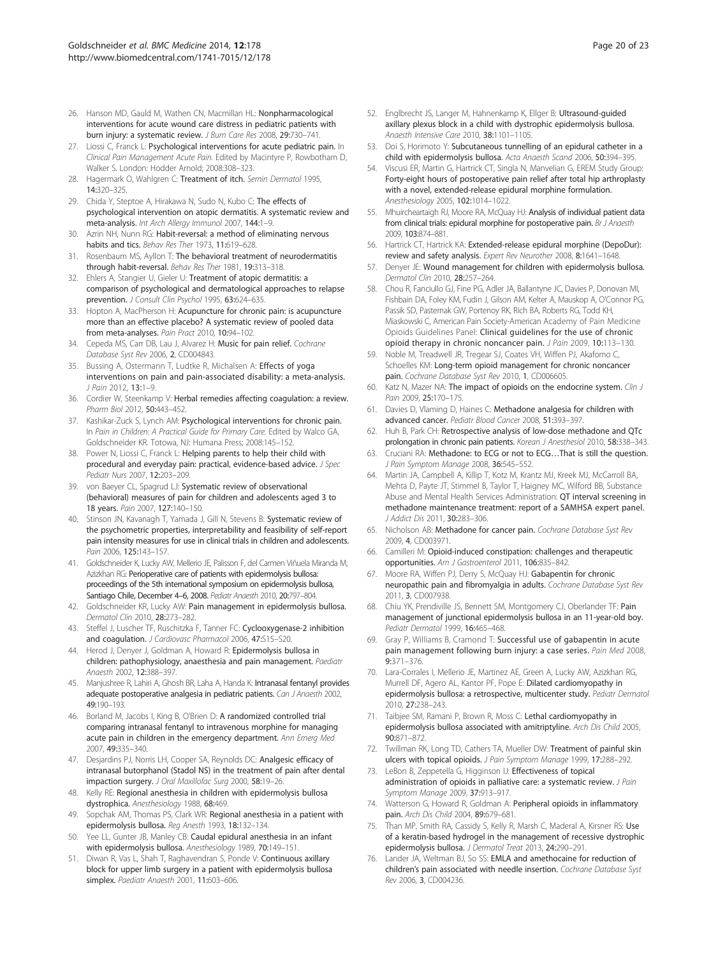- <span id="page-19-0"></span>26. Hanson MD, Gauld M, Wathen CN, Macmillan HL: Nonpharmacological interventions for acute wound care distress in pediatric patients with burn injury: a systematic review. J Burn Care Res 2008, 29:730–741.
- 27. Liossi C, Franck L: Psychological interventions for acute pediatric pain. In Clinical Pain Management Acute Pain. Edited by Macintyre P, Rowbotham D, Walker S. London: Hodder Arnold; 2008:308–323.
- 28. Hagermark O, Wahlgren C: Treatment of itch. Semin Dermatol 1995, 14:320–325.
- 29. Chida Y, Steptoe A, Hirakawa N, Sudo N, Kubo C: The effects of psychological intervention on atopic dermatitis. A systematic review and meta-analysis. Int Arch Allergy Immunol 2007, 144:1-9.
- 30. Azrin NH, Nunn RG: Habit-reversal: a method of eliminating nervous habits and tics. Behav Res Ther 1973, 11:619-628.
- 31. Rosenbaum MS, Ayllon T: The behavioral treatment of neurodermatitis through habit-reversal. Behav Res Ther 1981, 19:313–318.
- 32. Ehlers A, Stangier U, Gieler U: Treatment of atopic dermatitis: a comparison of psychological and dermatological approaches to relapse prevention. J Consult Clin Psychol 1995, 63:624-635.
- 33. Hopton A, MacPherson H: Acupuncture for chronic pain: is acupuncture more than an effective placebo? A systematic review of pooled data from meta-analyses. Pain Pract 2010, 10:94–102.
- 34. Cepeda MS, Carr DB, Lau J, Alvarez H: Music for pain relief. Cochrane Database Syst Rev 2006, 2, CD004843.
- 35. Bussing A, Ostermann T, Ludtke R, Michalsen A: Effects of yoga interventions on pain and pain-associated disability: a meta-analysis. J Pain 2012, 13:1–9.
- 36. Cordier W, Steenkamp V: Herbal remedies affecting coagulation: a review. Pharm Biol 2012, 50:443–452.
- 37. Kashikar-Zuck S, Lynch AM: Psychological interventions for chronic pain. In Pain in Children: A Practical Guide for Primary Care. Edited by Walco GA, Goldschneider KR. Totowa, NJ: Humana Press; 2008:145–152.
- 38. Power N, Liossi C, Franck L: Helping parents to help their child with procedural and everyday pain: practical, evidence-based advice. J Spec Pediatr Nurs 2007, 12:203–209.
- 39. von Baeyer CL, Spagrud LJ: Systematic review of observational (behavioral) measures of pain for children and adolescents aged 3 to 18 years. Pain 2007, 127:140–150.
- 40. Stinson JN, Kavanagh T, Yamada J, Gill N, Stevens B: Systematic review of the psychometric properties, interpretability and feasibility of self-report pain intensity measures for use in clinical trials in children and adolescents. Pain 2006, 125:143–157.
- 41. Goldschneider K, Lucky AW, Mellerio JE, Palisson F, del Carmen Viñuela Miranda M, Azizkhan RG: Perioperative care of patients with epidermolysis bullosa: proceedings of the 5th international symposium on epidermolysis bullosa, Santiago Chile, December 4–6, 2008. Pediatr Anaesth 2010, 20:797–804.
- 42. Goldschneider KR, Lucky AW: Pain management in epidermolysis bullosa. Dermatol Clin 2010, 28:273–282.
- 43. Steffel J, Luscher TF, Ruschitzka F, Tanner FC: Cyclooxygenase-2 inhibition and coagulation. J Cardiovasc Pharmacol 2006, 47:S15-S20.
- 44. Herod J, Denyer J, Goldman A, Howard R: Epidermolysis bullosa in children: pathophysiology, anaesthesia and pain management. Paediatr Anaesth 2002, 12:388–397.
- 45. Manjushree R, Lahiri A, Ghosh BR, Laha A, Handa K: Intranasal fentanyl provides adequate postoperative analgesia in pediatric patients. Can J Anaesth 2002, 49:190–193.
- 46. Borland M, Jacobs I, King B, O'Brien D: A randomized controlled trial comparing intranasal fentanyl to intravenous morphine for managing acute pain in children in the emergency department. Ann Emerg Med 2007, 49:335–340.
- 47. Desjardins PJ, Norris LH, Cooper SA, Reynolds DC: Analgesic efficacy of intranasal butorphanol (Stadol NS) in the treatment of pain after dental impaction surgery. J Oral Maxillofac Surg 2000, 58:19-26.
- 48. Kelly RE: Regional anesthesia in children with epidermolysis bullosa dystrophica. Anesthesiology 1988, 68:469.
- 49. Sopchak AM, Thomas PS, Clark WR: Regional anesthesia in a patient with epidermolysis bullosa. Reg Anesth 1993, 18:132–134.
- 50. Yee LL, Gunter JB, Manley CB: Caudal epidural anesthesia in an infant with epidermolysis bullosa. Anesthesiology 1989, 70:149–151.
- 51. Diwan R, Vas L, Shah T, Raghavendran S, Ponde V: Continuous axillary block for upper limb surgery in a patient with epidermolysis bullosa simplex. Paediatr Anaesth 2001, 11:603-606.
- 52. Englbrecht JS, Langer M, Hahnenkamp K, Ellger B: Ultrasound-guided axillary plexus block in a child with dystrophic epidermolysis bullosa. Anaesth Intensive Care 2010, 38:1101–1105.
- 53. Doi S, Horimoto Y: Subcutaneous tunnelling of an epidural catheter in a child with epidermolysis bullosa. Acta Anaesth Scand 2006, 50:394–395.
- 54. Viscusi ER, Martin G, Hartrick CT, Singla N, Manvelian G, EREM Study Group: Forty-eight hours of postoperative pain relief after total hip arthroplasty with a novel, extended-release epidural morphine formulation. Anesthesiology 2005, 102:1014–1022.
- 55. Mhuircheartaigh RJ, Moore RA, McQuay HJ: Analysis of individual patient data from clinical trials: epidural morphine for postoperative pain. Br J Anaesth 2009, 103:874–881.
- 56. Hartrick CT, Hartrick KA: Extended-release epidural morphine (DepoDur): review and safety analysis. Expert Rev Neurother 2008, 8:1641–1648.
- 57. Denyer JE: Wound management for children with epidermolysis bullosa. Dermatol Clin 2010, 28:257–264.
- 58. Chou R, Fanciullo GJ, Fine PG, Adler JA, Ballantyne JC, Davies P, Donovan MI, Fishbain DA, Foley KM, Fudin J, Gilson AM, Kelter A, Mauskop A, O'Connor PG, Passik SD, Pasternak GW, Portenoy RK, Rich BA, Roberts RG, Todd KH, Miaskowski C, American Pain Society-American Academy of Pain Medicine Opioids Guidelines Panel: Clinical guidelines for the use of chronic opioid therapy in chronic noncancer pain. J Pain 2009, 10:113–130.
- 59. Noble M, Treadwell JR, Tregear SJ, Coates VH, Wiffen PJ, Akafomo C, Schoelles KM: Long-term opioid management for chronic noncancer pain. Cochrane Database Syst Rev 2010, 1, CD006605.
- 60. Katz N, Mazer NA: The impact of opioids on the endocrine system. Clin J Pain 2009, 25:170–175.
- 61. Davies D, Vlaming D, Haines C: Methadone analgesia for children with advanced cancer. Pediatr Blood Cancer 2008, 51:393-397.
- 62. Huh B, Park CH: Retrospective analysis of low-dose methadone and QTc prolongation in chronic pain patients. Korean J Anesthesiol 2010, 58:338-343.
- 63. Cruciani RA: Methadone: to ECG or not to ECG…That is still the question. J Pain Symptom Manage 2008, 36:545–552.
- 64. Martin JA, Campbell A, Killip T, Kotz M, Krantz MJ, Kreek MJ, McCarroll BA, Mehta D, Payte JT, Stimmel B, Taylor T, Haigney MC, Wilford BB, Substance Abuse and Mental Health Services Administration: QT interval screening in methadone maintenance treatment: report of a SAMHSA expert panel. J Addict Dis 2011, 30:283–306.
- 65. Nicholson AB: Methadone for cancer pain. Cochrane Database Syst Rev 2009, 4, CD003971.
- Camilleri M: Opioid-induced constipation: challenges and therapeutic opportunities. Am J Gastroenterol 2011, 106:835–842.
- Moore RA, Wiffen PJ, Derry S, McQuay HJ: Gabapentin for chronic neuropathic pain and fibromyalgia in adults. Cochrane Database Syst Rev 2011, 3, CD007938.
- 68. Chiu YK, Prendiville JS, Bennett SM, Montgomery CJ, Oberlander TF: Pain management of junctional epidermolysis bullosa in an 11-year-old boy. Pediatr Dermatol 1999, 16:465–468.
- 69. Gray P, Williams B, Cramond T: Successful use of gabapentin in acute pain management following burn injury: a case series. Pain Med 2008, 9:371–376.
- 70. Lara-Corrales I, Mellerio JE, Martinez AE, Green A, Lucky AW, Azizkhan RG, Murrell DF, Agero AL, Kantor PF, Pope E: Dilated cardiomyopathy in epidermolysis bullosa: a retrospective, multicenter study. Pediatr Dermatol 2010, 27:238–243.
- 71. Taibjee SM, Ramani P, Brown R, Moss C: Lethal cardiomyopathy in epidermolysis bullosa associated with amitriptyline. Arch Dis Child 2005, 90:871–872.
- 72. Twillman RK, Long TD, Cathers TA, Mueller DW: Treatment of painful skin ulcers with topical opioids. J Pain Symptom Manage 1999, 17:288-292.
- 73. LeBon B, Zeppetella G, Higginson IJ: Effectiveness of topical administration of opioids in palliative care: a systematic review. J Pain Symptom Manage 2009, 37:913–917.
- 74. Watterson G, Howard R, Goldman A: Peripheral opioids in inflammatory pain. Arch Dis Child 2004, 89:679–681.
- 75. Than MP, Smith RA, Cassidy S, Kelly R, Marsh C, Maderal A, Kirsner RS: Use of a keratin-based hydrogel in the management of recessive dystrophic epidermolysis bullosa. J Dermatol Treat 2013, 24:290–291.
- 76. Lander JA, Weltman BJ, So SS: EMLA and amethocaine for reduction of children's pain associated with needle insertion. Cochrane Database Syst Rev 2006, 3, CD004236.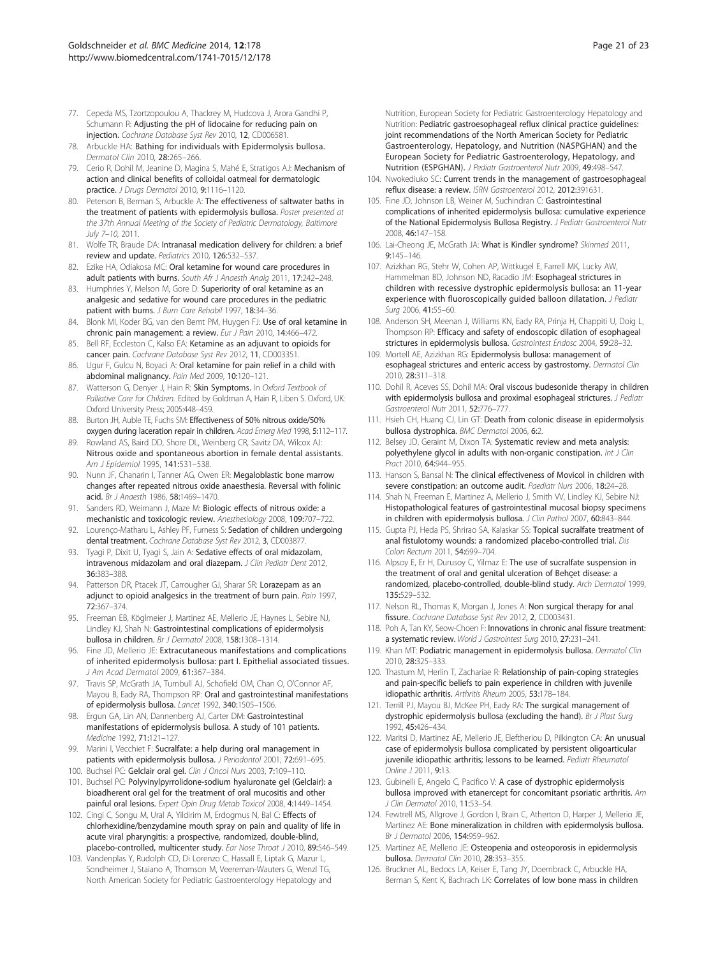- <span id="page-20-0"></span>77. Cepeda MS, Tzortzopoulou A, Thackrey M, Hudcova J, Arora Gandhi P, Schumann R: Adjusting the pH of lidocaine for reducing pain on injection. Cochrane Database Syst Rev 2010, 12, CD006581.
- 78. Arbuckle HA: Bathing for individuals with Epidermolysis bullosa. Dermatol Clin 2010, 28:265–266.
- 79. Cerio R, Dohil M, Jeanine D, Magina S, Mahé E, Stratigos AJ: Mechanism of action and clinical benefits of colloidal oatmeal for dermatologic practice. J Drugs Dermatol 2010, 9:1116–1120.
- 80. Peterson B, Berman S, Arbuckle A: The effectiveness of saltwater baths in the treatment of patients with epidermolysis bullosa. Poster presented at the 37th Annual Meeting of the Society of Pediatric Dermatology, Baltimore July 7–10, 2011.
- 81. Wolfe TR, Braude DA: Intranasal medication delivery for children: a brief review and update. Pediatrics 2010, 126:532–537.
- 82. Ezike HA, Odiakosa MC: Oral ketamine for wound care procedures in adult patients with burns. South Afr J Anaesth Analg 2011, 17:242-248.
- 83. Humphries Y, Melson M, Gore D: Superiority of oral ketamine as an analgesic and sedative for wound care procedures in the pediatric patient with burns. J Burn Care Rehabil 1997, 18:34–36.
- 84. Blonk MI, Koder BG, van den Bemt PM, Huygen FJ: Use of oral ketamine in chronic pain management: a review. Eur J Pain 2010, 14:466-472.
- 85. Bell RF, Eccleston C, Kalso EA: Ketamine as an adjuvant to opioids for cancer pain. Cochrane Database Syst Rev 2012, 11, CD003351.
- 86. Ugur F, Gulcu N, Boyaci A: Oral ketamine for pain relief in a child with abdominal malignancy. Pain Med 2009, 10:120–121.
- 87. Watterson G, Denyer J, Hain R: Skin Symptoms. In Oxford Textbook of Palliative Care for Children. Edited by Goldman A, Hain R, Liben S. Oxford, UK: Oxford University Press; 2005:448–459.
- 88. Burton JH, Auble TE, Fuchs SM: Effectiveness of 50% nitrous oxide/50% oxygen during laceration repair in children. Acad Emerg Med 1998, 5:112–117.
- 89. Rowland AS, Baird DD, Shore DL, Weinberg CR, Savitz DA, Wilcox AJ: Nitrous oxide and spontaneous abortion in female dental assistants. Am J Epidemiol 1995, 141:531–538.
- 90. Nunn JF, Chanarin I, Tanner AG, Owen ER: Megaloblastic bone marrow changes after repeated nitrous oxide anaesthesia. Reversal with folinic acid. Br J Anaesth 1986, 58:1469–1470.
- 91. Sanders RD, Weimann J, Maze M: Biologic effects of nitrous oxide: a mechanistic and toxicologic review. Anesthesiology 2008, 109:707–722.
- 92. Lourenço-Matharu L, Ashley PF, Furness S: Sedation of children undergoing dental treatment. Cochrane Database Syst Rev 2012, 3, CD003877
- 93. Tyagi P, Dixit U, Tyagi S, Jain A: Sedative effects of oral midazolam, intravenous midazolam and oral diazepam. J Clin Pediatr Dent 2012, 36:383–388.
- 94. Patterson DR, Ptacek JT, Carrougher GJ, Sharar SR: Lorazepam as an adjunct to opioid analgesics in the treatment of burn pain. Pain 1997, 72:367–374.
- 95. Freeman EB, Köglmeier J, Martinez AE, Mellerio JE, Haynes L, Sebire NJ, Lindley KJ, Shah N: Gastrointestinal complications of epidermolysis bullosa in children. Br J Dermatol 2008, 158:1308–1314.
- Fine JD, Mellerio JE: Extracutaneous manifestations and complications of inherited epidermolysis bullosa: part I. Epithelial associated tissues. J Am Acad Dermatol 2009, 61:367–384.
- 97. Travis SP, McGrath JA, Turnbull AJ, Schofield OM, Chan O, O'Connor AF, Mayou B, Eady RA, Thompson RP: Oral and gastrointestinal manifestations of epidermolysis bullosa. Lancet 1992, 340:1505–1506.
- 98. Ergun GA, Lin AN, Dannenberg AJ, Carter DM: Gastrointestinal manifestations of epidermolysis bullosa. A study of 101 patients. Medicine 1992, 71:121–127.
- 99. Marini I, Vecchiet F: Sucralfate: a help during oral management in patients with epidermolysis bullosa. J Periodontol 2001, 72:691-695.
- 100. Buchsel PC: Gelclair oral gel. Clin J Oncol Nurs 2003, 7:109-110. 101. Buchsel PC: Polyvinylpyrrolidone-sodium hyaluronate gel (Gelclair): a
- bioadherent oral gel for the treatment of oral mucositis and other painful oral lesions. Expert Opin Drug Metab Toxicol 2008, 4:1449–1454.
- 102. Cingi C, Songu M, Ural A, Yildirim M, Erdogmus N, Bal C: Effects of chlorhexidine/benzydamine mouth spray on pain and quality of life in acute viral pharyngitis: a prospective, randomized, double-blind, placebo-controlled, multicenter study. Ear Nose Throat J 2010, 89:546-549.
- 103. Vandenplas Y, Rudolph CD, Di Lorenzo C, Hassall E, Liptak G, Mazur L, Sondheimer J, Staiano A, Thomson M, Veereman-Wauters G, Wenzl TG, North American Society for Pediatric Gastroenterology Hepatology and

Nutrition, European Society for Pediatric Gastroenterology Hepatology and Nutrition: Pediatric gastroesophageal reflux clinical practice guidelines: joint recommendations of the North American Society for Pediatric Gastroenterology, Hepatology, and Nutrition (NASPGHAN) and the European Society for Pediatric Gastroenterology, Hepatology, and Nutrition (ESPGHAN). J Pediatr Gastroenterol Nutr 2009, 49:498–547.

- 104. Nwokediuko SC: Current trends in the management of gastroesophageal reflux disease: a review. ISRN Gastroenterol 2012, 2012:391631.
- 105. Fine JD, Johnson LB, Weiner M, Suchindran C: Gastrointestinal complications of inherited epidermolysis bullosa: cumulative experience of the National Epidermolysis Bullosa Registry. J Pediatr Gastroenterol Nutr 2008, 46:147–158.
- 106. Lai-Cheong JE, McGrath JA: What is Kindler syndrome? Skinmed 2011,  $9.145 - 146$
- 107. Azizkhan RG, Stehr W, Cohen AP, Wittkugel E, Farrell MK, Lucky AW, Hammelman BD, Johnson ND, Racadio JM: Esophageal strictures in children with recessive dystrophic epidermolysis bullosa: an 11-year experience with fluoroscopically guided balloon dilatation. J Pediatr Surg 2006, 41:55–60.
- 108. Anderson SH, Meenan J, Williams KN, Eady RA, Prinja H, Chappiti U, Doig L, Thompson RP: Efficacy and safety of endoscopic dilation of esophageal strictures in epidermolysis bullosa. Gastrointest Endosc 2004, 59:28-32.
- 109. Mortell AE, Azizkhan RG: Epidermolysis bullosa: management of esophageal strictures and enteric access by gastrostomy. Dermatol Clin 2010, 28:311–318.
- 110. Dohil R, Aceves SS, Dohil MA: Oral viscous budesonide therapy in children with epidermolysis bullosa and proximal esophageal strictures. J Pediatr Gastroenterol Nutr 2011, 52:776–777.
- 111. Hsieh CH, Huang CJ, Lin GT: Death from colonic disease in epidermolysis bullosa dystrophica. BMC Dermatol 2006, 6:2.
- 112. Belsey JD, Geraint M, Dixon TA: Systematic review and meta analysis: polyethylene glycol in adults with non-organic constipation. Int J Clin Pract 2010, 64:944–955.
- 113. Hanson S, Bansal N: The clinical effectiveness of Movicol in children with severe constipation: an outcome audit. Paediatr Nurs 2006, 18:24–28.
- 114. Shah N, Freeman E, Martinez A, Mellerio J, Smith VV, Lindley KJ, Sebire NJ: Histopathological features of gastrointestinal mucosal biopsy specimens in children with epidermolysis bullosa. J Clin Pathol 2007, 60:843-844.
- 115. Gupta PJ, Heda PS, Shrirao SA, Kalaskar SS: Topical sucralfate treatment of anal fistulotomy wounds: a randomized placebo-controlled trial. Dis Colon Rectum 2011, 54:699–704.
- 116. Alpsoy E, Er H, Durusoy C, Yilmaz E: The use of sucralfate suspension in the treatment of oral and genital ulceration of Behçet disease: a randomized, placebo-controlled, double-blind study. Arch Dermatol 1999, 135:529–532.
- 117. Nelson RL, Thomas K, Morgan J, Jones A: Non surgical therapy for anal fissure. Cochrane Database Syst Rev 2012, 2, CD003431.
- 118. Poh A, Tan KY, Seow-Choen F: Innovations in chronic anal fissure treatment: a systematic review. World J Gastrointest Surg 2010, 27:231–241.
- 119. Khan MT: Podiatric management in epidermolysis bullosa. Dermatol Clin 2010, 28:325–333.
- 120. Thastum M, Herlin T, Zachariae R: Relationship of pain-coping strategies and pain-specific beliefs to pain experience in children with juvenile idiopathic arthritis. Arthritis Rheum 2005, 53:178–184.
- 121. Terrill PJ, Mayou BJ, McKee PH, Eady RA: The surgical management of dystrophic epidermolysis bullosa (excluding the hand). Br J Plast Surg 1992, 45:426–434.
- 122. Maritsi D, Martinez AE, Mellerio JE, Eleftheriou D, Pilkington CA: An unusual case of epidermolysis bullosa complicated by persistent oligoarticular juvenile idiopathic arthritis; lessons to be learned. Pediatr Rheumatol Online J 2011, 9:13.
- 123. Gubinelli E, Angelo C, Pacifico V: A case of dystrophic epidermolysis bullosa improved with etanercept for concomitant psoriatic arthritis. Am J Clin Dermatol 2010, 11:53–54.
- 124. Fewtrell MS, Allgrove J, Gordon I, Brain C, Atherton D, Harper J, Mellerio JE, Martinez AE: Bone mineralization in children with epidermolysis bullosa. Br J Dermatol 2006, 154:959–962.
- 125. Martinez AE, Mellerio JE: Osteopenia and osteoporosis in epidermolysis bullosa. Dermatol Clin 2010, 28:353–355.
- 126. Bruckner AL, Bedocs LA, Keiser E, Tang JY, Doernbrack C, Arbuckle HA, Berman S, Kent K, Bachrach LK: Correlates of low bone mass in children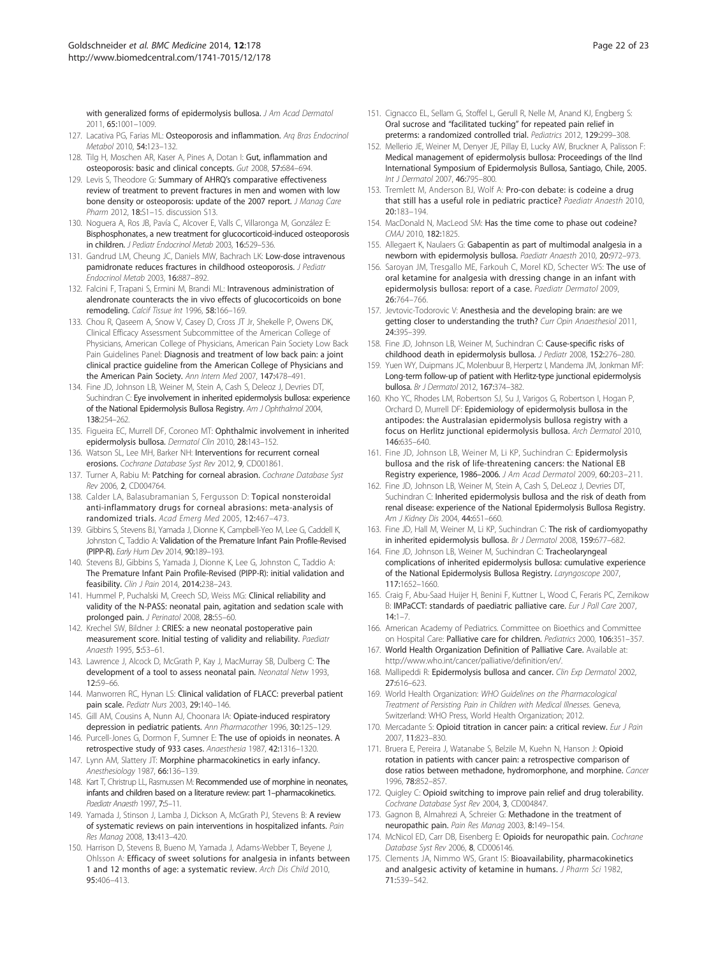<span id="page-21-0"></span>with generalized forms of epidermolysis bullosa. J Am Acad Dermatol 2011, 65:1001–1009.

- 127. Lacativa PG, Farias ML: Osteoporosis and inflammation. Arq Bras Endocrinol Metabol 2010, 54:123–132.
- 128. Tilg H, Moschen AR, Kaser A, Pines A, Dotan I: Gut, inflammation and osteoporosis: basic and clinical concepts. Gut 2008, 57:684–694.
- 129. Levis S, Theodore G: Summary of AHRQ's comparative effectiveness review of treatment to prevent fractures in men and women with low bone density or osteoporosis: update of the 2007 report. J Manag Care Pharm 2012, 18:S1–15. discussion S13.
- 130. Noguera A, Ros JB, Pavía C, Alcover E, Valls C, Villaronga M, González E: Bisphosphonates, a new treatment for glucocorticoid-induced osteoporosis in children. J Pediatr Endocrinol Metab 2003, 16:529–536.
- 131. Gandrud LM, Cheung JC, Daniels MW, Bachrach LK: Low-dose intravenous pamidronate reduces fractures in childhood osteoporosis. J Pediatr Endocrinol Metab 2003, 16:887–892.
- 132. Falcini F, Trapani S, Ermini M, Brandi ML: Intravenous administration of alendronate counteracts the in vivo effects of glucocorticoids on bone remodeling. Calcif Tissue Int 1996, 58:166–169.
- 133. Chou R, Qaseem A, Snow V, Casey D, Cross JT Jr, Shekelle P, Owens DK, Clinical Efficacy Assessment Subcommittee of the American College of Physicians, American College of Physicians, American Pain Society Low Back Pain Guidelines Panel: Diagnosis and treatment of low back pain: a joint clinical practice guideline from the American College of Physicians and the American Pain Society. Ann Intern Med 2007, 147:478–491.
- 134. Fine JD, Johnson LB, Weiner M, Stein A, Cash S, Deleoz J, Devries DT, Suchindran C: Eye involvement in inherited epidermolysis bullosa: experience of the National Epidermolysis Bullosa Registry. Am J Ophthalmol 2004, 138:254–262.
- 135. Figueira EC, Murrell DF, Coroneo MT: Ophthalmic involvement in inherited epidermolysis bullosa. Dermatol Clin 2010, 28:143–152.
- 136. Watson SL, Lee MH, Barker NH: Interventions for recurrent corneal erosions. Cochrane Database Syst Rev 2012, 9, CD001861.
- 137. Turner A, Rabiu M: Patching for corneal abrasion. Cochrane Database Syst Rev 2006, 2, CD004764.
- 138. Calder LA, Balasubramanian S, Fergusson D: Topical nonsteroidal anti-inflammatory drugs for corneal abrasions: meta-analysis of randomized trials. Acad Emerg Med 2005, 12:467–473.
- 139. Gibbins S, Stevens BJ, Yamada J, Dionne K, Campbell-Yeo M, Lee G, Caddell K, Johnston C, Taddio A: Validation of the Premature Infant Pain Profile-Revised (PIPP-R). Early Hum Dev 2014, 90:189–193.
- 140. Stevens BJ, Gibbins S, Yamada J, Dionne K, Lee G, Johnston C, Taddio A: The Premature Infant Pain Profile-Revised (PIPP-R): initial validation and feasibility. Clin J Pain 2014, 2014:238–243.
- 141. Hummel P, Puchalski M, Creech SD, Weiss MG: Clinical reliability and validity of the N-PASS: neonatal pain, agitation and sedation scale with prolonged pain. J Perinatol 2008, 28:55-60.
- 142. Krechel SW, Bildner J: CRIES: a new neonatal postoperative pain measurement score. Initial testing of validity and reliability. Paediatr Anaesth 1995, 5:53–61.
- 143. Lawrence J, Alcock D, McGrath P, Kay J, MacMurray SB, Dulberg C: The development of a tool to assess neonatal pain. Neonatal Netw 1993, 12:59–66.
- 144. Manworren RC, Hynan LS: Clinical validation of FLACC: preverbal patient pain scale. Pediatr Nurs 2003, 29:140–146.
- 145. Gill AM, Cousins A, Nunn AJ, Choonara IA: Opiate-induced respiratory depression in pediatric patients. Ann Pharmacother 1996, 30:125-129
- 146. Purcell-Jones G, Dormon F, Sumner E: The use of opioids in neonates. A retrospective study of 933 cases. Anaesthesia 1987, 42:1316–1320.
- 147. Lynn AM, Slattery JT: Morphine pharmacokinetics in early infancy. Anesthesiology 1987, 66:136–139.
- 148. Kart T, Christrup LL, Rasmussen M: Recommended use of morphine in neonates, infants and children based on a literature review: part 1–pharmacokinetics. Paediatr Anaesth 1997, 7:5–11.
- 149. Yamada J, Stinson J, Lamba J, Dickson A, McGrath PJ, Stevens B: A review of systematic reviews on pain interventions in hospitalized infants. Pain Res Manag 2008, 13:413–420.
- 150. Harrison D, Stevens B, Bueno M, Yamada J, Adams-Webber T, Beyene J, Ohlsson A: Efficacy of sweet solutions for analgesia in infants between 1 and 12 months of age: a systematic review. Arch Dis Child 2010, 95:406–413.
- 151. Cignacco EL, Sellam G, Stoffel L, Gerull R, Nelle M, Anand KJ, Engberg S: Oral sucrose and "facilitated tucking" for repeated pain relief in preterms: a randomized controlled trial. Pediatrics 2012, 129:299–308.
- 152. Mellerio JE, Weiner M, Denyer JE, Pillay EI, Lucky AW, Bruckner A, Palisson F: Medical management of epidermolysis bullosa: Proceedings of the IInd International Symposium of Epidermolysis Bullosa, Santiago, Chile, 2005. Int J Dermatol 2007, 46:795–800.
- 153. Tremlett M, Anderson BJ, Wolf A: Pro-con debate: is codeine a drug that still has a useful role in pediatric practice? Paediatr Anaesth 2010, 20:183–194.
- 154. MacDonald N, MacLeod SM: Has the time come to phase out codeine? CMAJ 2010, 182:1825.
- 155. Allegaert K, Naulaers G: Gabapentin as part of multimodal analgesia in a newborn with epidermolysis bullosa. Paediatr Anaesth 2010, 20:972–973.
- 156. Saroyan JM, Tresgallo ME, Farkouh C, Morel KD, Schecter WS: The use of oral ketamine for analgesia with dressing change in an infant with epidermolysis bullosa: report of a case. Paediatr Dermatol 2009, 26:764–766.
- 157. Jevtovic-Todorovic V: Anesthesia and the developing brain: are we getting closer to understanding the truth? Curr Opin Anaesthesiol 2011, 24:395–399.
- 158. Fine JD, Johnson LB, Weiner M, Suchindran C: Cause-specific risks of childhood death in epidermolysis bullosa. J Pediatr 2008, 152:276-280.
- 159. Yuen WY, Duipmans JC, Molenbuur B, Herpertz I, Mandema JM, Jonkman MF: Long-term follow-up of patient with Herlitz-type junctional epidermolysis bullosa. Br J Dermatol 2012, 167:374–382.
- 160. Kho YC, Rhodes LM, Robertson SJ, Su J, Varigos G, Robertson I, Hogan P, Orchard D, Murrell DF: Epidemiology of epidermolysis bullosa in the antipodes: the Australasian epidermolysis bullosa registry with a focus on Herlitz junctional epidermolysis bullosa. Arch Dermatol 2010, 146:635–640.
- 161. Fine JD, Johnson LB, Weiner M, Li KP, Suchindran C: Epidermolysis bullosa and the risk of life-threatening cancers: the National EB Registry experience, 1986–2006. J Am Acad Dermatol 2009, 60:203–211.
- 162. Fine JD, Johnson LB, Weiner M, Stein A, Cash S, DeLeoz J, Devries DT, Suchindran C: Inherited epidermolysis bullosa and the risk of death from renal disease: experience of the National Epidermolysis Bullosa Registry. Am J Kidney Dis 2004, 44:651–660.
- 163. Fine JD, Hall M, Weiner M, Li KP, Suchindran C: The risk of cardiomyopathy in inherited epidermolysis bullosa. Br J Dermatol 2008, 159:677–682.
- 164. Fine JD, Johnson LB, Weiner M, Suchindran C: Tracheolaryngeal complications of inherited epidermolysis bullosa: cumulative experience of the National Epidermolysis Bullosa Registry. Laryngoscope 2007, 117:1652–1660.
- 165. Craig F, Abu-Saad Huijer H, Benini F, Kuttner L, Wood C, Feraris PC, Zernikow B: IMPaCCT: standards of paediatric palliative care. Eur J Pall Care 2007,  $14.1 - 7$
- 166. American Academy of Pediatrics. Committee on Bioethics and Committee on Hospital Care: Palliative care for children. Pediatrics 2000, 106:351–357.
- 167. World Health Organization Definition of Palliative Care. Available at: [http://www.who.int/cancer/palliative/definition/en/.](http://www.who.int/cancer/palliative/definition/en/)
- 168. Mallipeddi R: Epidermolysis bullosa and cancer. Clin Exp Dermatol 2002, 27:616–623.
- 169. World Health Organization: WHO Guidelines on the Pharmacological Treatment of Persisting Pain in Children with Medical Illnesses. Geneva, Switzerland: WHO Press, World Health Organization; 2012.
- 170. Mercadante S: Opioid titration in cancer pain: a critical review. Eur J Pain 2007, 11:823–830.
- 171. Bruera E, Pereira J, Watanabe S, Belzile M, Kuehn N, Hanson J: Opioid rotation in patients with cancer pain: a retrospective comparison of dose ratios between methadone, hydromorphone, and morphine. Cancer 1996, 78:852–857.
- 172. Quigley C: Opioid switching to improve pain relief and drug tolerability. Cochrane Database Syst Rev 2004, 3, CD004847.
- 173. Gagnon B, Almahrezi A, Schreier G: Methadone in the treatment of neuropathic pain. Pain Res Manag 2003, 8:149–154.
- 174. McNicol ED, Carr DB, Eisenberg E: Opioids for neuropathic pain. Cochrane Database Syst Rev 2006, 8, CD006146.
- 175. Clements JA, Nimmo WS, Grant IS: Bioavailability, pharmacokinetics and analgesic activity of ketamine in humans. J Pharm Sci 1982, 71:539–542.